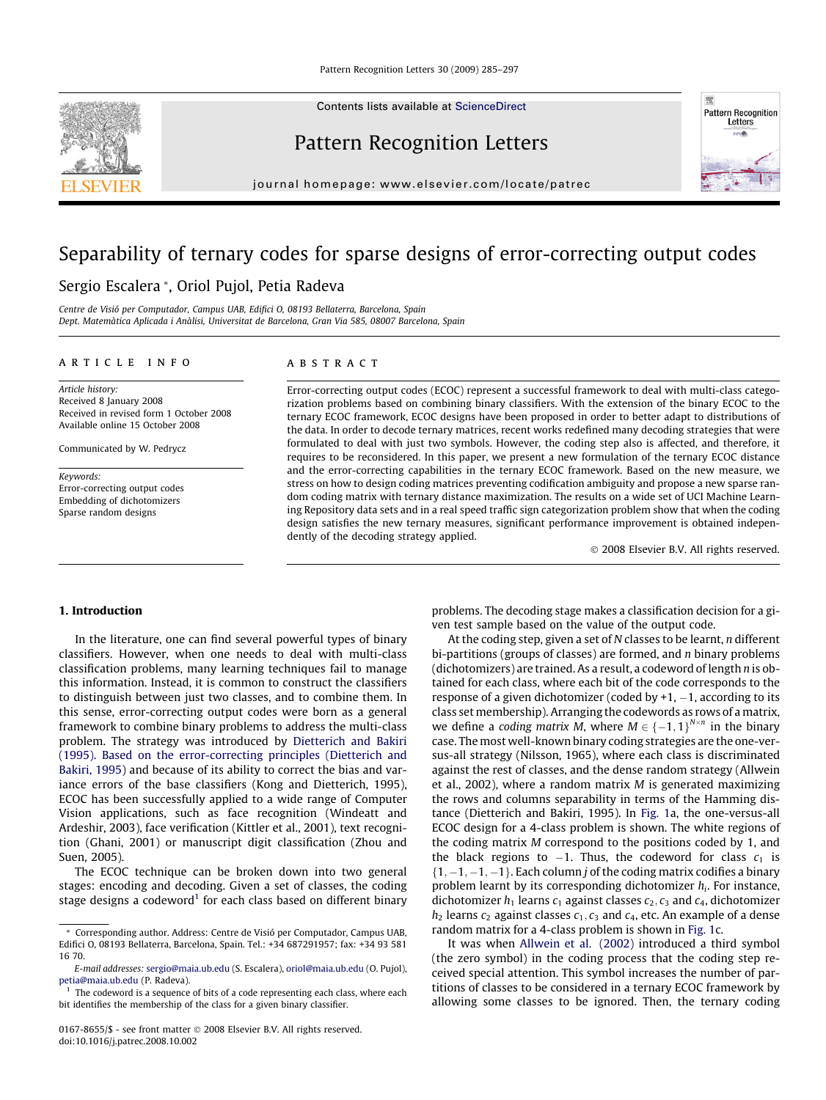Contents lists available at [ScienceDirect](http://www.sciencedirect.com/science/journal/01678655)

# Pattern Recognition Letters

journal homepage: [www.elsevier.com/locate/patrec](http://www.elsevier.com/locate/patrec)

# Separability of ternary codes for sparse designs of error-correcting output codes

# Sergio Escalera \*, Oriol Pujol, Petia Radeva

Centre de Visió per Computador, Campus UAB, Edifici O, 08193 Bellaterra, Barcelona, Spain Dept. Matemàtica Aplicada i Anàlisi, Universitat de Barcelona, Gran Via 585, 08007 Barcelona, Spain

## article info

Article history: Received 8 January 2008 Received in revised form 1 October 2008 Available online 15 October 2008

Communicated by W. Pedrycz

Keywords: Error-correcting output codes Embedding of dichotomizers Sparse random designs

# **ABSTRACT**

Error-correcting output codes (ECOC) represent a successful framework to deal with multi-class categorization problems based on combining binary classifiers. With the extension of the binary ECOC to the ternary ECOC framework, ECOC designs have been proposed in order to better adapt to distributions of the data. In order to decode ternary matrices, recent works redefined many decoding strategies that were formulated to deal with just two symbols. However, the coding step also is affected, and therefore, it requires to be reconsidered. In this paper, we present a new formulation of the ternary ECOC distance and the error-correcting capabilities in the ternary ECOC framework. Based on the new measure, we stress on how to design coding matrices preventing codification ambiguity and propose a new sparse random coding matrix with ternary distance maximization. The results on a wide set of UCI Machine Learning Repository data sets and in a real speed traffic sign categorization problem show that when the coding design satisfies the new ternary measures, significant performance improvement is obtained independently of the decoding strategy applied.

- 2008 Elsevier B.V. All rights reserved.

#### 1. Introduction

In the literature, one can find several powerful types of binary classifiers. However, when one needs to deal with multi-class classification problems, many learning techniques fail to manage this information. Instead, it is common to construct the classifiers to distinguish between just two classes, and to combine them. In this sense, error-correcting output codes were born as a general framework to combine binary problems to address the multi-class problem. The strategy was introduced by [Dietterich and Bakiri](#page-12-0) [\(1995\). Based on the error-correcting principles \(Dietterich and](#page-12-0) [Bakiri, 1995\)](#page-12-0) and because of its ability to correct the bias and variance errors of the base classifiers (Kong and Dietterich, 1995), ECOC has been successfully applied to a wide range of Computer Vision applications, such as face recognition (Windeatt and Ardeshir, 2003), face verification (Kittler et al., 2001), text recognition (Ghani, 2001) or manuscript digit classification (Zhou and Suen, 2005).

The ECOC technique can be broken down into two general stages: encoding and decoding. Given a set of classes, the coding stage designs a codeword<sup>1</sup> for each class based on different binary problems. The decoding stage makes a classification decision for a given test sample based on the value of the output code.

At the coding step, given a set of  $N$  classes to be learnt,  $n$  different bi-partitions (groups of classes) are formed, and  $n$  binary problems (dichotomizers) are trained. As a result, a codeword of length n is obtained for each class, where each bit of the code corresponds to the response of a given dichotomizer (coded by +1, –1, according to its class set membership). Arranging the codewords as rows of a matrix, we define a coding matrix M, where  $M \in \{-1,1\}^{N \times n}$  in the binary case. The most well-known binary coding strategies are the one-versus-all strategy (Nilsson, 1965), where each class is discriminated against the rest of classes, and the dense random strategy (Allwein et al., 2002), where a random matrix M is generated maximizing the rows and columns separability in terms of the Hamming distance (Dietterich and Bakiri, 1995). In [Fig. 1a](#page-1-0), the one-versus-all ECOC design for a 4-class problem is shown. The white regions of the coding matrix M correspond to the positions coded by 1, and the black regions to  $-1$ . Thus, the codeword for class  $c_1$  is  $\{1, -1, -1, -1\}$ . Each column j of the coding matrix codifies a binary problem learnt by its corresponding dichotomizer  $h_i$ . For instance, dichotomizer  $h_1$  learns  $c_1$  against classes  $c_2$ ,  $c_3$  and  $c_4$ , dichotomizer  $h_2$  learns  $c_2$  against classes  $c_1, c_3$  and  $c_4$ , etc. An example of a dense random matrix for a 4-class problem is shown in [Fig. 1](#page-1-0)c.

It was when [Allwein et al. \(2002\)](#page-12-0) introduced a third symbol (the zero symbol) in the coding process that the coding step received special attention. This symbol increases the number of partitions of classes to be considered in a ternary ECOC framework by allowing some classes to be ignored. Then, the ternary coding





<sup>\*</sup> Corresponding author. Address: Centre de Visió per Computador, Campus UAB, Edifici O, 08193 Bellaterra, Barcelona, Spain. Tel.: +34 687291957; fax: +34 93 581 16 70.

E-mail addresses: [sergio@maia.ub.edu](mailto:sergio@maia.ub.edu) (S. Escalera), [oriol@maia.ub.edu](mailto:oriol@maia.ub.edu) (O. Pujol), [petia@maia.ub.edu](mailto:petia@maia.ub.edu) (P. Radeva).

The codeword is a sequence of bits of a code representing each class, where each bit identifies the membership of the class for a given binary classifier.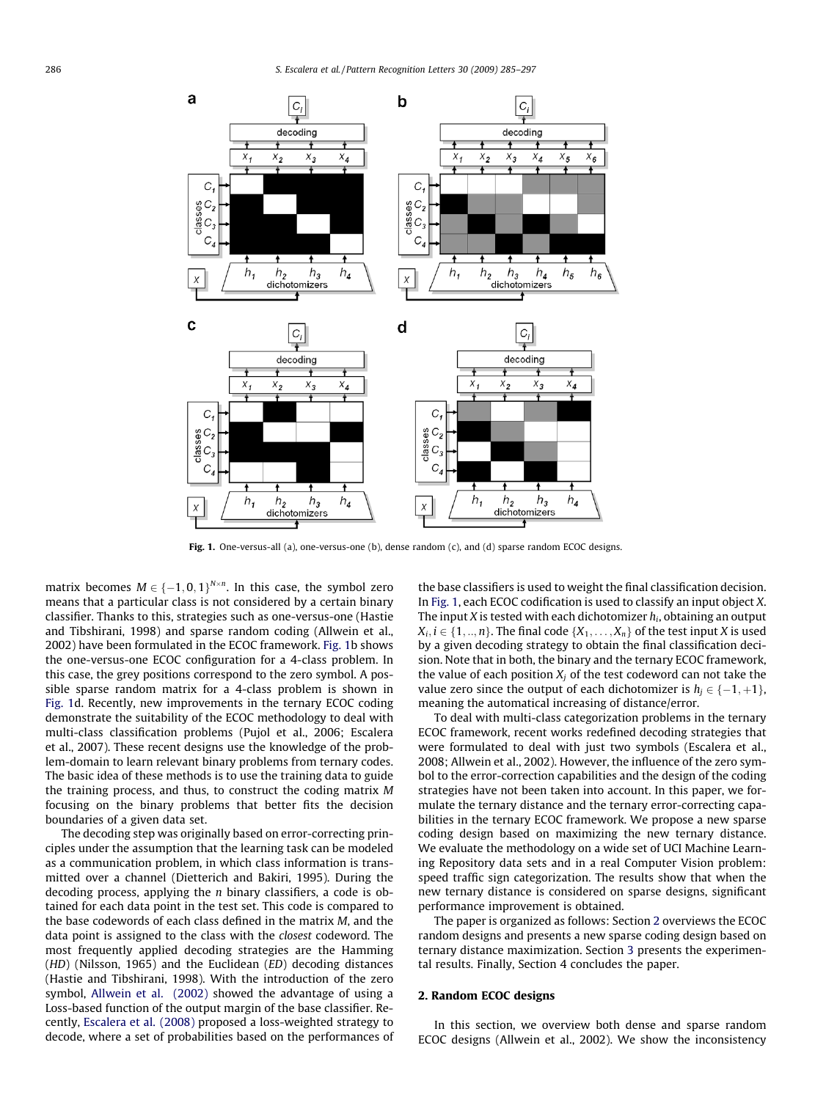<span id="page-1-0"></span>

Fig. 1. One-versus-all (a), one-versus-one (b), dense random (c), and (d) sparse random ECOC designs.

matrix becomes  $M \in \{-1,0,1\}^{N \times n}$ . In this case, the symbol zero means that a particular class is not considered by a certain binary classifier. Thanks to this, strategies such as one-versus-one (Hastie and Tibshirani, 1998) and sparse random coding (Allwein et al., 2002) have been formulated in the ECOC framework. Fig. 1b shows the one-versus-one ECOC configuration for a 4-class problem. In this case, the grey positions correspond to the zero symbol. A possible sparse random matrix for a 4-class problem is shown in Fig. 1d. Recently, new improvements in the ternary ECOC coding demonstrate the suitability of the ECOC methodology to deal with multi-class classification problems (Pujol et al., 2006; Escalera et al., 2007). These recent designs use the knowledge of the problem-domain to learn relevant binary problems from ternary codes. The basic idea of these methods is to use the training data to guide the training process, and thus, to construct the coding matrix M focusing on the binary problems that better fits the decision boundaries of a given data set.

The decoding step was originally based on error-correcting principles under the assumption that the learning task can be modeled as a communication problem, in which class information is transmitted over a channel (Dietterich and Bakiri, 1995). During the decoding process, applying the n binary classifiers, a code is obtained for each data point in the test set. This code is compared to the base codewords of each class defined in the matrix M, and the data point is assigned to the class with the closest codeword. The most frequently applied decoding strategies are the Hamming (HD) (Nilsson, 1965) and the Euclidean (ED) decoding distances (Hastie and Tibshirani, 1998). With the introduction of the zero symbol, [Allwein et al. \(2002\)](#page-12-0) showed the advantage of using a Loss-based function of the output margin of the base classifier. Recently, [Escalera et al. \(2008\)](#page-12-0) proposed a loss-weighted strategy to decode, where a set of probabilities based on the performances of the base classifiers is used to weight the final classification decision. In Fig. 1, each ECOC codification is used to classify an input object X. The input X is tested with each dichotomizer  $h_i$ , obtaining an output  $X_i, i \in \{1, ..., n\}$ . The final code  $\{X_1, ..., X_n\}$  of the test input X is used by a given decoding strategy to obtain the final classification decision. Note that in both, the binary and the ternary ECOC framework, the value of each position  $X_i$  of the test codeword can not take the value zero since the output of each dichotomizer is  $h_j \in \{-1, +1\}$ , meaning the automatical increasing of distance/error.

To deal with multi-class categorization problems in the ternary ECOC framework, recent works redefined decoding strategies that were formulated to deal with just two symbols (Escalera et al., 2008; Allwein et al., 2002). However, the influence of the zero symbol to the error-correction capabilities and the design of the coding strategies have not been taken into account. In this paper, we formulate the ternary distance and the ternary error-correcting capabilities in the ternary ECOC framework. We propose a new sparse coding design based on maximizing the new ternary distance. We evaluate the methodology on a wide set of UCI Machine Learning Repository data sets and in a real Computer Vision problem: speed traffic sign categorization. The results show that when the new ternary distance is considered on sparse designs, significant performance improvement is obtained.

The paper is organized as follows: Section 2 overviews the ECOC random designs and presents a new sparse coding design based on ternary distance maximization. Section [3](#page-3-0) presents the experimental results. Finally, Section 4 concludes the paper.

#### 2. Random ECOC designs

In this section, we overview both dense and sparse random ECOC designs (Allwein et al., 2002). We show the inconsistency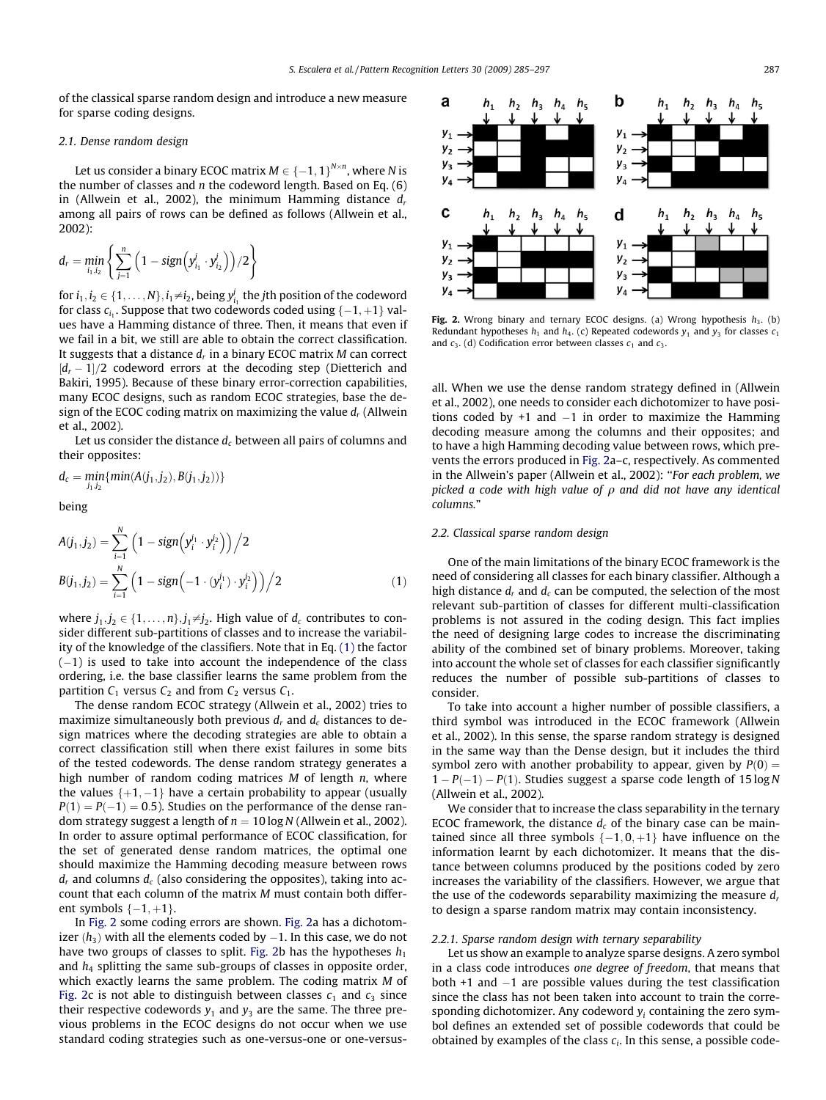<span id="page-2-0"></span>of the classical sparse random design and introduce a new measure for sparse coding designs.

#### 2.1. Dense random design

Let us consider a binary ECOC matrix  $M \in \left\{-1,1\right\}^{N \times n}$ , where N is the number of classes and  $n$  the codeword length. Based on Eq.  $(6)$ in (Allwein et al., 2002), the minimum Hamming distance  $d_r$ among all pairs of rows can be defined as follows (Allwein et al., 2002):

$$
d_r = \min_{i_1, i_2} \left\{ \sum_{j=1}^n \left( 1 - sign \left( y_{i_1}^j \cdot y_{i_2}^j \right) \right) / 2 \right\}
$$

for  $i_1, i_2 \in \{1, \ldots, N\}, i_1 \neq i_2$ , being  $y^j_{i_1}$  the jth position of the codeword for class  $c_{i_1}.$  Suppose that two codewords coded using  $\{-1,+1\}$  values have a Hamming distance of three. Then, it means that even if we fail in a bit, we still are able to obtain the correct classification. It suggests that a distance  $d_r$  in a binary ECOC matrix M can correct  $[d_r-1]/2$  codeword errors at the decoding step (Dietterich and Bakiri, 1995). Because of these binary error-correction capabilities, many ECOC designs, such as random ECOC strategies, base the design of the ECOC coding matrix on maximizing the value  $d_r$  (Allwein et al., 2002).

Let us consider the distance  $d_c$  between all pairs of columns and their opposites:

$$
d_c = \underset{j_1,j_2}{min} \{ \underset{j_2}{min}(A(j_1,j_2),B(j_1,j_2)) \}
$$

being

$$
A(j_1, j_2) = \sum_{i=1}^{N} \left( 1 - sign\left( y_i^{j_1} \cdot y_i^{j_2} \right) \right) / 2
$$
  
\n
$$
B(j_1, j_2) = \sum_{i=1}^{N} \left( 1 - sign\left( -1 \cdot (y_i^{j_1}) \cdot y_i^{j_2} \right) \right) / 2
$$
\n(1)

where  $j_1, j_2 \in \{1, \ldots, n\}$ ,  $j_1 \neq j_2$ . High value of  $d_c$  contributes to consider different sub-partitions of classes and to increase the variability of the knowledge of the classifiers. Note that in Eq. (1) the factor (-1) is used to take into account the independence of the class ordering, i.e. the base classifier learns the same problem from the partition  $C_1$  versus  $C_2$  and from  $C_2$  versus  $C_1$ .

The dense random ECOC strategy (Allwein et al., 2002) tries to maximize simultaneously both previous  $d_r$  and  $d_c$  distances to design matrices where the decoding strategies are able to obtain a correct classification still when there exist failures in some bits of the tested codewords. The dense random strategy generates a high number of random coding matrices  $M$  of length  $n$ , where the values  $\{+1, -1\}$  have a certain probability to appear (usually  $P(1) = P(-1) = 0.5$ ). Studies on the performance of the dense random strategy suggest a length of  $n = 10 \log N$  (Allwein et al., 2002). In order to assure optimal performance of ECOC classification, for the set of generated dense random matrices, the optimal one should maximize the Hamming decoding measure between rows  $d<sub>r</sub>$  and columns  $d<sub>c</sub>$  (also considering the opposites), taking into account that each column of the matrix M must contain both different symbols  $\{-1, +1\}$ .

In Fig. 2 some coding errors are shown. Fig. 2a has a dichotomizer  $(h_3)$  with all the elements coded by  $-1.$  In this case, we do not have two groups of classes to split. Fig. 2b has the hypotheses  $h_1$ and  $h_4$  splitting the same sub-groups of classes in opposite order, which exactly learns the same problem. The coding matrix M of Fig. 2c is not able to distinguish between classes  $c_1$  and  $c_3$  since their respective codewords  $y_1$  and  $y_3$  are the same. The three previous problems in the ECOC designs do not occur when we use standard coding strategies such as one-versus-one or one-versus-



Fig. 2. Wrong binary and ternary ECOC designs. (a) Wrong hypothesis  $h_3$ . (b) Redundant hypotheses  $h_1$  and  $h_4$ . (c) Repeated codewords  $y_1$  and  $y_3$  for classes  $c_1$ and  $c_3$ . (d) Codification error between classes  $c_1$  and  $c_3$ .

all. When we use the dense random strategy defined in (Allwein et al., 2002), one needs to consider each dichotomizer to have positions coded by  $+1$  and  $-1$  in order to maximize the Hamming decoding measure among the columns and their opposites; and to have a high Hamming decoding value between rows, which prevents the errors produced in Fig. 2a–c, respectively. As commented in the Allwein's paper (Allwein et al., 2002): ''For each problem, we picked a code with high value of  $\rho$  and did not have any identical columns."

#### 2.2. Classical sparse random design

One of the main limitations of the binary ECOC framework is the need of considering all classes for each binary classifier. Although a high distance  $d_r$  and  $d_c$  can be computed, the selection of the most relevant sub-partition of classes for different multi-classification problems is not assured in the coding design. This fact implies the need of designing large codes to increase the discriminating ability of the combined set of binary problems. Moreover, taking into account the whole set of classes for each classifier significantly reduces the number of possible sub-partitions of classes to consider.

To take into account a higher number of possible classifiers, a third symbol was introduced in the ECOC framework (Allwein et al., 2002). In this sense, the sparse random strategy is designed in the same way than the Dense design, but it includes the third symbol zero with another probability to appear, given by  $P(0) =$  $1 - P(-1) - P(1)$ . Studies suggest a sparse code length of 15 log N (Allwein et al., 2002).

We consider that to increase the class separability in the ternary ECOC framework, the distance  $d_c$  of the binary case can be maintained since all three symbols  $\{-1,0,+1\}$  have influence on the information learnt by each dichotomizer. It means that the distance between columns produced by the positions coded by zero increases the variability of the classifiers. However, we argue that the use of the codewords separability maximizing the measure  $d_r$ to design a sparse random matrix may contain inconsistency.

#### 2.2.1. Sparse random design with ternary separability

Let us show an example to analyze sparse designs. A zero symbol in a class code introduces one degree of freedom, that means that both +1 and -1 are possible values during the test classification since the class has not been taken into account to train the corresponding dichotomizer. Any codeword  $y_i$  containing the zero symbol defines an extended set of possible codewords that could be obtained by examples of the class  $c_i$ . In this sense, a possible code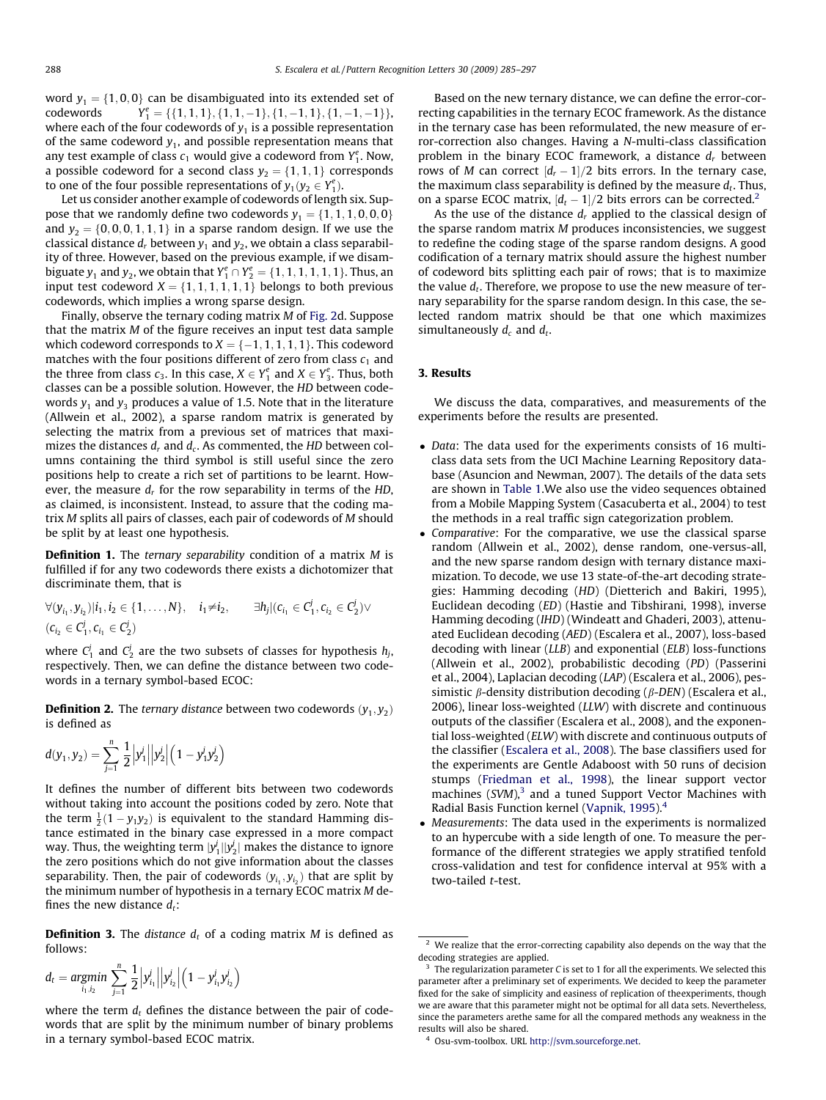<span id="page-3-0"></span>word  $y_1 = \{1, 0, 0\}$  can be disambiguated into its extended set of codewords  $\mathcal{I}_1^e = \{ \{1,1,1\}, \{1,1,-1\}, \{1,-1,1\}, \{1,-1,-1\} \},$ where each of the four codewords of  $y_1$  is a possible representation of the same codeword  $y_1$ , and possible representation means that any test example of class  $c_1$  would give a codeword from  $Y_1^e$ . Now, a possible codeword for a second class  $y_2 = \{1, 1, 1\}$  corresponds to one of the four possible representations of  $y_1(y_2 \in Y_1^e)$ .

Let us consider another example of codewords of length six. Suppose that we randomly define two codewords  $y_1 = \{1, 1, 1, 0, 0, 0\}$ and  $y_2 = \{0, 0, 0, 1, 1, 1\}$  in a sparse random design. If we use the classical distance  $d_r$  between  $y_1$  and  $y_2$ , we obtain a class separability of three. However, based on the previous example, if we disambiguate  $y_1$  and  $y_2$ , we obtain that  $Y_1^e \cap Y_2^e = \{1, 1, 1, 1, 1, 1\}$ . Thus, an input test codeword  $X = \{1, 1, 1, 1, 1, 1\}$  belongs to both previous codewords, which implies a wrong sparse design.

Finally, observe the ternary coding matrix M of [Fig. 2](#page-2-0)d. Suppose that the matrix M of the figure receives an input test data sample which codeword corresponds to  $X = \{-1,1,1,1,1\}.$  This codeword matches with the four positions different of zero from class  $c_1$  and the three from class  $c_3$ . In this case,  $X \in Y_1^e$  and  $X \in Y_3^e$ . Thus, both classes can be a possible solution. However, the HD between codewords  $y_1$  and  $y_3$  produces a value of 1.5. Note that in the literature (Allwein et al., 2002), a sparse random matrix is generated by selecting the matrix from a previous set of matrices that maximizes the distances  $d_r$  and  $d_c$ . As commented, the HD between columns containing the third symbol is still useful since the zero positions help to create a rich set of partitions to be learnt. However, the measure  $d_r$  for the row separability in terms of the HD, as claimed, is inconsistent. Instead, to assure that the coding matrix M splits all pairs of classes, each pair of codewords of M should be split by at least one hypothesis.

**Definition 1.** The ternary separability condition of a matrix M is fulfilled if for any two codewords there exists a dichotomizer that discriminate them, that is

$$
\forall (y_{i_1}, y_{i_2}) | i_1, i_2 \in \{1, ..., N\}, \quad i_1 \neq i_2, \qquad \exists h_j | (c_{i_1} \in C_1^j, c_{i_2} \in C_2^j) \lor
$$
  

$$
(c_{i_2} \in C_1^j, c_{i_1} \in C_2^j)
$$

where  $C_1^j$  and  $C_2^j$  are the two subsets of classes for hypothesis  $h_j$ , respectively. Then, we can define the distance between two codewords in a ternary symbol-based ECOC:

**Definition 2.** The ternary distance between two codewords  $(y_1, y_2)$ is defined as

$$
d(y_1, y_2) = \sum_{j=1}^n \frac{1}{2} |y_1^j||y_2^j| (1 - y_1^j y_2^j)
$$

It defines the number of different bits between two codewords without taking into account the positions coded by zero. Note that the term  $\frac{1}{2}(1 - y_1y_2)$  is equivalent to the standard Hamming distance estimated in the binary case expressed in a more compact way. Thus, the weighting term  $|y_1^j||y_2^j|$  makes the distance to ignore the zero positions which do not give information about the classes separability. Then, the pair of codewords  $(y_i, y_i)$  that are split by the minimum number of hypothesis in a ternary ECOC matrix M defines the new distance  $d_t$ :

**Definition 3.** The distance  $d_t$  of a coding matrix M is defined as follows:

$$
d_t = \underset{i_1, i_2}{\text{argmin}} \sum_{j=1}^n \frac{1}{2} \Big| y_{i_1}^j \Big| \Big| y_{i_2}^j \Big| \Big( 1 - y_{i_1}^j y_{i_2}^j \Big)
$$

where the term  $d_t$  defines the distance between the pair of codewords that are split by the minimum number of binary problems in a ternary symbol-based ECOC matrix.

Based on the new ternary distance, we can define the error-correcting capabilities in the ternary ECOC framework. As the distance in the ternary case has been reformulated, the new measure of error-correction also changes. Having a N-multi-class classification problem in the binary ECOC framework, a distance  $d_r$  between rows of M can correct  $[d_r - 1]/2$  bits errors. In the ternary case, the maximum class separability is defined by the measure  $d_t$ . Thus, on a sparse ECOC matrix,  $[d_t - 1]/2$  bits errors can be corrected.<sup>2</sup>

As the use of the distance  $d_r$  applied to the classical design of the sparse random matrix M produces inconsistencies, we suggest to redefine the coding stage of the sparse random designs. A good codification of a ternary matrix should assure the highest number of codeword bits splitting each pair of rows; that is to maximize the value  $d_t$ . Therefore, we propose to use the new measure of ternary separability for the sparse random design. In this case, the selected random matrix should be that one which maximizes simultaneously  $d_c$  and  $d_t$ .

### 3. Results

We discuss the data, comparatives, and measurements of the experiments before the results are presented.

- Data: The data used for the experiments consists of 16 multiclass data sets from the UCI Machine Learning Repository database (Asuncion and Newman, 2007). The details of the data sets are shown in [Table 1.](#page-4-0)We also use the video sequences obtained from a Mobile Mapping System (Casacuberta et al., 2004) to test the methods in a real traffic sign categorization problem.
- Comparative: For the comparative, we use the classical sparse random (Allwein et al., 2002), dense random, one-versus-all, and the new sparse random design with ternary distance maximization. To decode, we use 13 state-of-the-art decoding strategies: Hamming decoding (HD) (Dietterich and Bakiri, 1995), Euclidean decoding (ED) (Hastie and Tibshirani, 1998), inverse Hamming decoding (IHD) (Windeatt and Ghaderi, 2003), attenuated Euclidean decoding (AED) (Escalera et al., 2007), loss-based decoding with linear (LLB) and exponential (ELB) loss-functions (Allwein et al., 2002), probabilistic decoding (PD) (Passerini et al., 2004), Laplacian decoding (LAP) (Escalera et al., 2006), pessimistic  $\beta$ -density distribution decoding ( $\beta$ -DEN) (Escalera et al., 2006), linear loss-weighted (LLW) with discrete and continuous outputs of the classifier (Escalera et al., 2008), and the exponential loss-weighted (ELW) with discrete and continuous outputs of the classifier ([Escalera et al., 2008\)](#page-12-0). The base classifiers used for the experiments are Gentle Adaboost with 50 runs of decision stumps ([Friedman et al., 1998](#page-12-0)), the linear support vector machines (SVM), $3$  and a tuned Support Vector Machines with Radial Basis Function kernel ([Vapnik, 1995\)](#page-12-0).4
- Measurements: The data used in the experiments is normalized to an hypercube with a side length of one. To measure the performance of the different strategies we apply stratified tenfold cross-validation and test for confidence interval at 95% with a two-tailed t-test.

<sup>&</sup>lt;sup>2</sup> We realize that the error-correcting capability also depends on the way that the decoding strategies are applied.

<sup>&</sup>lt;sup>3</sup> The regularization parameter C is set to 1 for all the experiments. We selected this parameter after a preliminary set of experiments. We decided to keep the parameter fixed for the sake of simplicity and easiness of replication of theexperiments, though we are aware that this parameter might not be optimal for all data sets. Nevertheless, since the parameters arethe same for all the compared methods any weakness in the results will also be shared.

<sup>4</sup> Osu-svm-toolbox. URL [http://svm.sourceforge.net.](http://mlearn.ics.uci.edu/MLRepository.html)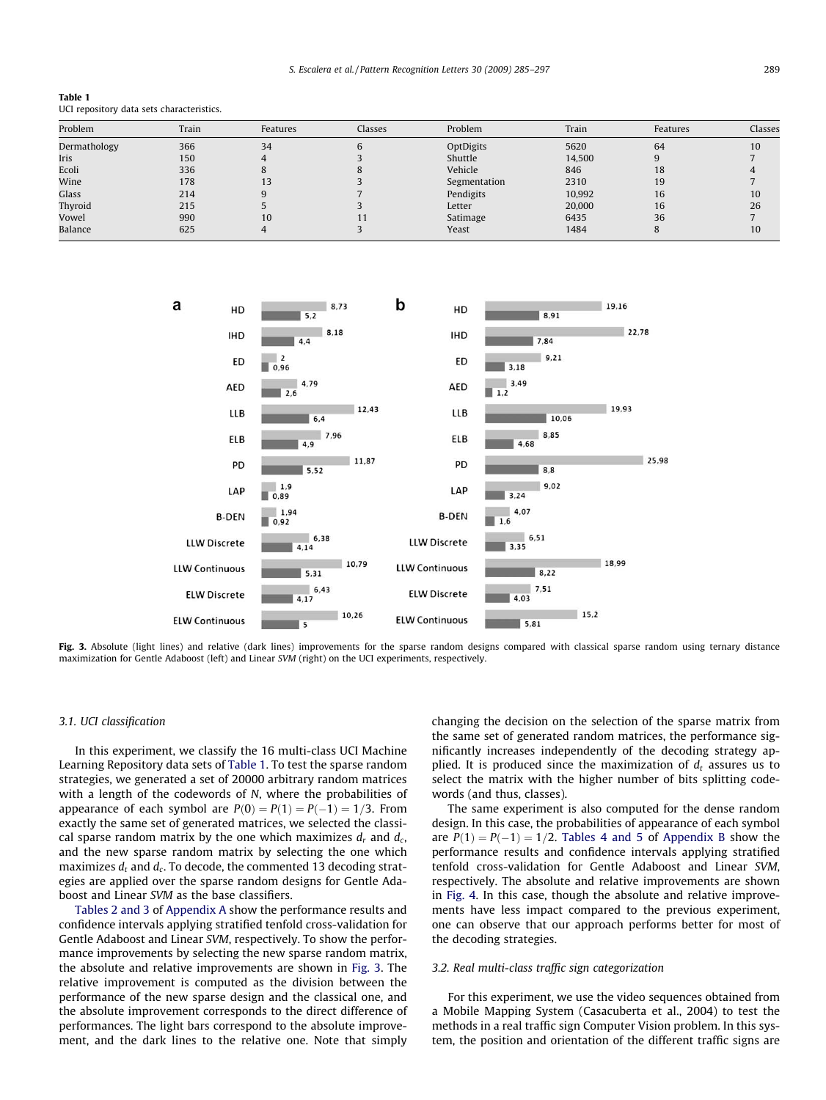<span id="page-4-0"></span>

| Table 1                                   |  |
|-------------------------------------------|--|
| UCI repository data sets characteristics. |  |

| Problem      | Train | Features | Classes | Problem      | Train  | Features | Classes |  |
|--------------|-------|----------|---------|--------------|--------|----------|---------|--|
| Dermathology | 366   | 34       |         | OptDigits    | 5620   | 64       | 10      |  |
| Iris         | 150   |          |         | Shuttle      | 14,500 |          |         |  |
| Ecoli        | 336   |          |         | Vehicle      | 846    | 18       |         |  |
| Wine         | 178   | 13       |         | Segmentation | 2310   | 19       |         |  |
| Glass        | 214   |          |         | Pendigits    | 10,992 | 16       | 10      |  |
| Thyroid      | 215   |          |         | Letter       | 20,000 | 16       | 26      |  |
| Vowel        | 990   | 10       |         | Satimage     | 6435   | 36       |         |  |
| Balance      | 625   |          |         | Yeast        | 1484   |          | 10      |  |



Fig. 3. Absolute (light lines) and relative (dark lines) improvements for the sparse random designs compared with classical sparse random using ternary distance maximization for Gentle Adaboost (left) and Linear SVM (right) on the UCI experiments, respectively.

#### 3.1. UCI classification

In this experiment, we classify the 16 multi-class UCI Machine Learning Repository data sets of Table 1. To test the sparse random strategies, we generated a set of 20000 arbitrary random matrices with a length of the codewords of N, where the probabilities of appearance of each symbol are  $P(0) = P(1) = P(-1) = 1/3$ . From exactly the same set of generated matrices, we selected the classical sparse random matrix by the one which maximizes  $d_r$  and  $d_c$ , and the new sparse random matrix by selecting the one which maximizes  $d_t$  and  $d_c$ . To decode, the commented 13 decoding strategies are applied over the sparse random designs for Gentle Adaboost and Linear SVM as the base classifiers.

[Tables 2 and 3](#page-7-0) of Appendix A show the performance results and confidence intervals applying stratified tenfold cross-validation for Gentle Adaboost and Linear SVM, respectively. To show the performance improvements by selecting the new sparse random matrix, the absolute and relative improvements are shown in Fig. 3. The relative improvement is computed as the division between the performance of the new sparse design and the classical one, and the absolute improvement corresponds to the direct difference of performances. The light bars correspond to the absolute improvement, and the dark lines to the relative one. Note that simply changing the decision on the selection of the sparse matrix from the same set of generated random matrices, the performance significantly increases independently of the decoding strategy applied. It is produced since the maximization of  $d_t$  assures us to select the matrix with the higher number of bits splitting codewords (and thus, classes).

The same experiment is also computed for the dense random design. In this case, the probabilities of appearance of each symbol are  $P(1) = P(-1) = 1/2$ . [Tables 4 and 5](#page-9-0) of Appendix B show the performance results and confidence intervals applying stratified tenfold cross-validation for Gentle Adaboost and Linear SVM, respectively. The absolute and relative improvements are shown in [Fig. 4](#page-5-0). In this case, though the absolute and relative improvements have less impact compared to the previous experiment, one can observe that our approach performs better for most of the decoding strategies.

#### 3.2. Real multi-class traffic sign categorization

For this experiment, we use the video sequences obtained from a Mobile Mapping System (Casacuberta et al., 2004) to test the methods in a real traffic sign Computer Vision problem. In this system, the position and orientation of the different traffic signs are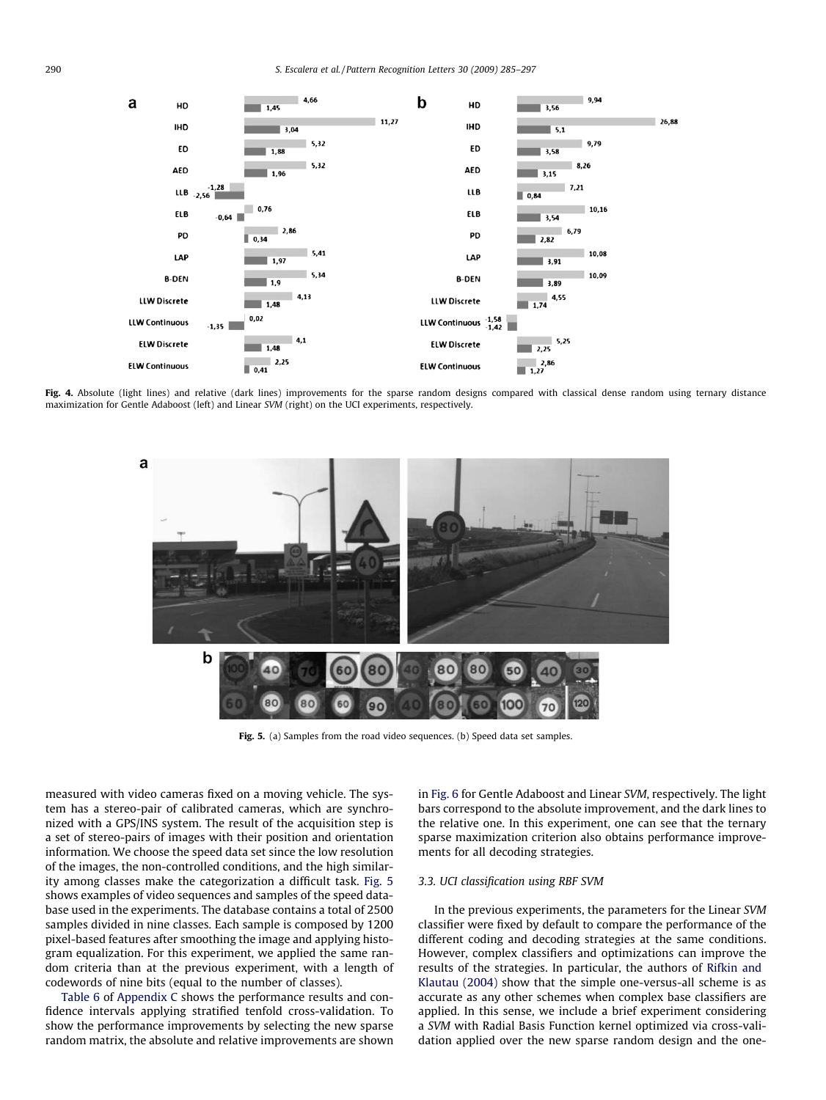<span id="page-5-0"></span>

Fig. 4. Absolute (light lines) and relative (dark lines) improvements for the sparse random designs compared with classical dense random using ternary distance maximization for Gentle Adaboost (left) and Linear SVM (right) on the UCI experiments, respectively.



Fig. 5. (a) Samples from the road video sequences. (b) Speed data set samples.

measured with video cameras fixed on a moving vehicle. The system has a stereo-pair of calibrated cameras, which are synchronized with a GPS/INS system. The result of the acquisition step is a set of stereo-pairs of images with their position and orientation information. We choose the speed data set since the low resolution of the images, the non-controlled conditions, and the high similarity among classes make the categorization a difficult task. Fig. 5 shows examples of video sequences and samples of the speed database used in the experiments. The database contains a total of 2500 samples divided in nine classes. Each sample is composed by 1200 pixel-based features after smoothing the image and applying histogram equalization. For this experiment, we applied the same random criteria than at the previous experiment, with a length of codewords of nine bits (equal to the number of classes).

[Table 6](#page-11-0) of Appendix C shows the performance results and confidence intervals applying stratified tenfold cross-validation. To show the performance improvements by selecting the new sparse random matrix, the absolute and relative improvements are shown in [Fig. 6](#page-6-0) for Gentle Adaboost and Linear SVM, respectively. The light bars correspond to the absolute improvement, and the dark lines to the relative one. In this experiment, one can see that the ternary sparse maximization criterion also obtains performance improvements for all decoding strategies.

### 3.3. UCI classification using RBF SVM

In the previous experiments, the parameters for the Linear SVM classifier were fixed by default to compare the performance of the different coding and decoding strategies at the same conditions. However, complex classifiers and optimizations can improve the results of the strategies. In particular, the authors of [Rifkin and](#page-12-0) [Klautau \(2004\)](#page-12-0) show that the simple one-versus-all scheme is as accurate as any other schemes when complex base classifiers are applied. In this sense, we include a brief experiment considering a SVM with Radial Basis Function kernel optimized via cross-validation applied over the new sparse random design and the one-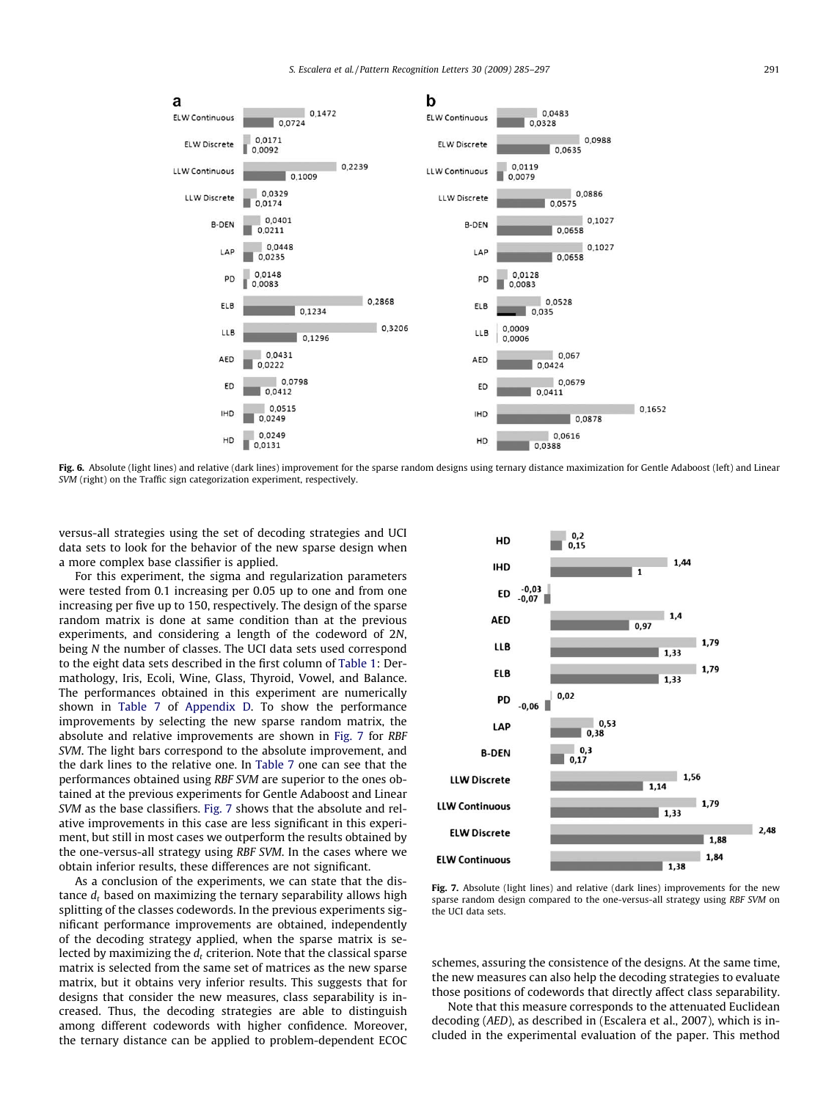<span id="page-6-0"></span>

Fig. 6. Absolute (light lines) and relative (dark lines) improvement for the sparse random designs using ternary distance maximization for Gentle Adaboost (left) and Linear SVM (right) on the Traffic sign categorization experiment, respectively.

versus-all strategies using the set of decoding strategies and UCI data sets to look for the behavior of the new sparse design when a more complex base classifier is applied.

For this experiment, the sigma and regularization parameters were tested from 0.1 increasing per 0.05 up to one and from one increasing per five up to 150, respectively. The design of the sparse random matrix is done at same condition than at the previous experiments, and considering a length of the codeword of 2N, being N the number of classes. The UCI data sets used correspond to the eight data sets described in the first column of [Table 1:](#page-4-0) Dermathology, Iris, Ecoli, Wine, Glass, Thyroid, Vowel, and Balance. The performances obtained in this experiment are numerically shown in [Table 7](#page-11-0) of Appendix D. To show the performance improvements by selecting the new sparse random matrix, the absolute and relative improvements are shown in Fig. 7 for RBF SVM. The light bars correspond to the absolute improvement, and the dark lines to the relative one. In [Table 7](#page-11-0) one can see that the performances obtained using RBF SVM are superior to the ones obtained at the previous experiments for Gentle Adaboost and Linear SVM as the base classifiers. Fig. 7 shows that the absolute and relative improvements in this case are less significant in this experiment, but still in most cases we outperform the results obtained by the one-versus-all strategy using RBF SVM. In the cases where we obtain inferior results, these differences are not significant.

As a conclusion of the experiments, we can state that the distance  $d_t$  based on maximizing the ternary separability allows high splitting of the classes codewords. In the previous experiments significant performance improvements are obtained, independently of the decoding strategy applied, when the sparse matrix is selected by maximizing the  $d_t$  criterion. Note that the classical sparse matrix is selected from the same set of matrices as the new sparse matrix, but it obtains very inferior results. This suggests that for designs that consider the new measures, class separability is increased. Thus, the decoding strategies are able to distinguish among different codewords with higher confidence. Moreover, the ternary distance can be applied to problem-dependent ECOC



Fig. 7. Absolute (light lines) and relative (dark lines) improvements for the new sparse random design compared to the one-versus-all strategy using RBF SVM on the UCI data sets.

schemes, assuring the consistence of the designs. At the same time, the new measures can also help the decoding strategies to evaluate those positions of codewords that directly affect class separability.

Note that this measure corresponds to the attenuated Euclidean decoding (AED), as described in (Escalera et al., 2007), which is included in the experimental evaluation of the paper. This method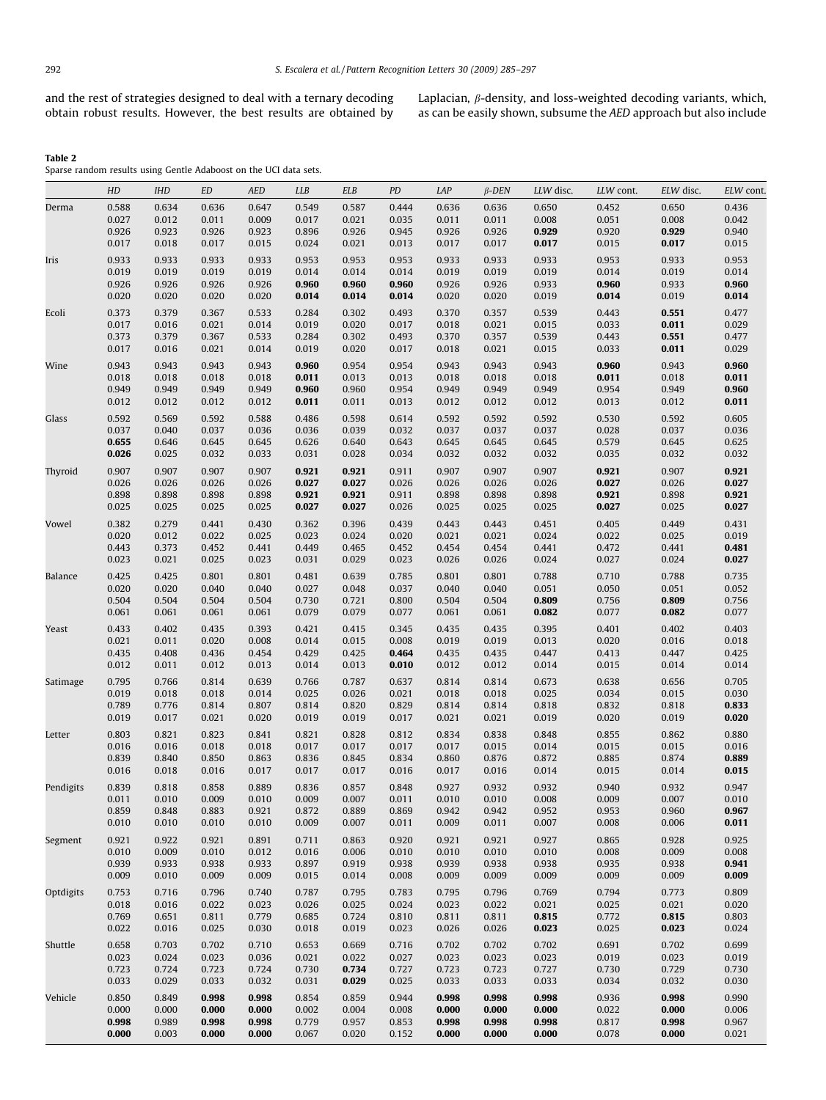<span id="page-7-0"></span>and the rest of strategies designed to deal with a ternary decoding obtain robust results. However, the best results are obtained by

Laplacian,  $\beta$ -density, and loss-weighted decoding variants, which, as can be easily shown, subsume the AED approach but also include

Table 2

Sparse random results using Gentle Adaboost on the UCI data sets.

|           | HD             | IHD            | ED             | AED            | LLB            | <b>ELB</b>     | PD             | LAP            | $\beta$ -DEN   | LLW disc.      | LLW cont.      |                                                                                                                                                                                                                                                                                                                                                             | ELW cont.      |
|-----------|----------------|----------------|----------------|----------------|----------------|----------------|----------------|----------------|----------------|----------------|----------------|-------------------------------------------------------------------------------------------------------------------------------------------------------------------------------------------------------------------------------------------------------------------------------------------------------------------------------------------------------------|----------------|
| Derma     | 0.588          | 0.634          | 0.636          | 0.647          | 0.549          | 0.587          | 0.444          | 0.636          | 0.636          | 0.650          | 0.452          |                                                                                                                                                                                                                                                                                                                                                             | 0.436          |
|           | 0.027          | 0.012          | 0.011          | 0.009          | 0.017          | 0.021          | 0.035          | 0.011          | 0.011          | 0.008          | 0.051          | 0.008                                                                                                                                                                                                                                                                                                                                                       | 0.042          |
|           | 0.926          | 0.923          | 0.926          | 0.923          | 0.896          | 0.926          | 0.945          | 0.926          | 0.926          | 0.929          | 0.920          | 0.929                                                                                                                                                                                                                                                                                                                                                       | 0.940          |
|           | 0.017          | 0.018          | 0.017          | 0.015          | 0.024          | 0.021          | 0.013          | 0.017          | 0.017          | 0.017          | 0.015          | 0.017                                                                                                                                                                                                                                                                                                                                                       | 0.015          |
| Iris      | 0.933          | 0.933          | 0.933          | 0.933          | 0.953          | 0.953          | 0.953          | 0.933          | 0.933          | 0.933          | 0.953          |                                                                                                                                                                                                                                                                                                                                                             | 0.953          |
|           | 0.019          | 0.019          | 0.019          | 0.019          | 0.014          | 0.014          | 0.014          | 0.019          | 0.019          | 0.019          | 0.014          |                                                                                                                                                                                                                                                                                                                                                             | 0.014          |
|           | 0.926          | 0.926          | 0.926          | 0.926          | 0.960          | 0.960          | 0.960          | 0.926          | 0.926          | 0.933          | 0.960          |                                                                                                                                                                                                                                                                                                                                                             | 0.960          |
|           | 0.020          | 0.020          | 0.020          | 0.020          | 0.014          | 0.014          | 0.014          | 0.020          | 0.020          | 0.019          | 0.014          | 0.650<br>0.933<br>0.019<br>0.933<br>0.019<br>0.551<br>0.011<br>0.551<br>0.011<br>0.943<br>0.018<br>0.949<br>0.012<br>0.592<br>0.037<br>0.645<br>0.032<br>0.907<br>0.026<br>0.898<br>0.025<br>0.449<br>0.025<br>0.441<br>0.024<br>0.788<br>0.051<br>0.809<br>0.082<br>0.402<br>0.016<br>0.447<br>0.014<br>0.656<br>0.015<br>0.818<br>0.019<br>0.862<br>0.015 | 0.014          |
| Ecoli     | 0.373          | 0.379          | 0.367          | 0.533          | 0.284          | 0.302          | 0.493          | 0.370          | 0.357          | 0.539          | 0.443          |                                                                                                                                                                                                                                                                                                                                                             | 0.477          |
|           | 0.017          | 0.016          | 0.021          | 0.014          | 0.019          | 0.020          | 0.017          | 0.018          | 0.021          | 0.015          | 0.033          |                                                                                                                                                                                                                                                                                                                                                             | 0.029          |
|           | 0.373          | 0.379          | 0.367          | 0.533          | 0.284          | 0.302          | 0.493          | 0.370          | 0.357          | 0.539          | 0.443          |                                                                                                                                                                                                                                                                                                                                                             | 0.477          |
|           | 0.017          | 0.016          | 0.021          | 0.014          | 0.019          | 0.020          | 0.017          | 0.018          | 0.021          | 0.015          | 0.033          |                                                                                                                                                                                                                                                                                                                                                             | 0.029          |
|           |                |                |                |                |                |                |                |                |                |                |                |                                                                                                                                                                                                                                                                                                                                                             |                |
| Wine      | 0.943          | 0.943          | 0.943          | 0.943          | 0.960          | 0.954          | 0.954          | 0.943          | 0.943          | 0.943          | 0.960          |                                                                                                                                                                                                                                                                                                                                                             | 0.960          |
|           | 0.018          | 0.018          | 0.018          | 0.018          | 0.011          | 0.013          | 0.013          | 0.018          | 0.018          | 0.018          | 0.011          |                                                                                                                                                                                                                                                                                                                                                             | 0.011<br>0.960 |
|           | 0.949<br>0.012 | 0.949<br>0.012 | 0.949<br>0.012 | 0.949<br>0.012 | 0.960<br>0.011 | 0.960<br>0.011 | 0.954<br>0.013 | 0.949<br>0.012 | 0.949<br>0.012 | 0.949<br>0.012 | 0.954<br>0.013 |                                                                                                                                                                                                                                                                                                                                                             | 0.011          |
|           |                |                |                |                |                |                |                |                |                |                |                |                                                                                                                                                                                                                                                                                                                                                             |                |
| Glass     | 0.592          | 0.569          | 0.592          | 0.588          | 0.486          | 0.598          | 0.614          | 0.592          | 0.592          | 0.592          | 0.530          |                                                                                                                                                                                                                                                                                                                                                             | 0.605          |
|           | 0.037          | 0.040          | 0.037          | 0.036          | 0.036          | 0.039          | 0.032          | 0.037          | 0.037          | 0.037          | 0.028          | ELW disc.<br>0.874<br>0.014<br>0.932<br>0.007<br>0.960<br>0.006<br>0.928<br>0.009<br>0.938<br>0.009<br>0.773<br>0.021<br>0.815<br>0.023<br>0.702<br>0.023<br>0.729<br>0.032                                                                                                                                                                                 | 0.036          |
|           | 0.655          | 0.646          | 0.645          | 0.645          | 0.626          | 0.640          | 0.643          | 0.645          | 0.645          | 0.645          | 0.579          |                                                                                                                                                                                                                                                                                                                                                             | 0.625          |
|           | 0.026          | 0.025          | 0.032          | 0.033          | 0.031          | 0.028          | 0.034          | 0.032          | 0.032          | 0.032          | 0.035          |                                                                                                                                                                                                                                                                                                                                                             | 0.032          |
| Thyroid   | 0.907          | 0.907          | 0.907          | 0.907          | 0.921          | 0.921          | 0.911          | 0.907          | 0.907          | 0.907          | 0.921          |                                                                                                                                                                                                                                                                                                                                                             | 0.921          |
|           | 0.026          | 0.026          | 0.026          | 0.026          | 0.027          | 0.027          | 0.026          | 0.026          | 0.026          | 0.026          | 0.027          |                                                                                                                                                                                                                                                                                                                                                             | 0.027          |
|           | 0.898          | 0.898          | 0.898          | 0.898          | 0.921          | 0.921          | 0.911          | 0.898          | 0.898          | 0.898          | 0.921          |                                                                                                                                                                                                                                                                                                                                                             | 0.921          |
|           | 0.025          | 0.025          | 0.025          | 0.025          | 0.027          | 0.027          | 0.026          | 0.025          | 0.025          | 0.025          | 0.027          |                                                                                                                                                                                                                                                                                                                                                             | 0.027          |
| Vowel     | 0.382          | 0.279          | 0.441          | 0.430          | 0.362          | 0.396          | 0.439          | 0.443          | 0.443          | 0.451          | 0.405          |                                                                                                                                                                                                                                                                                                                                                             | 0.431          |
|           | 0.020          | 0.012          | 0.022          | 0.025          | 0.023          | 0.024          | 0.020          | 0.021          | 0.021          | 0.024          | 0.022          |                                                                                                                                                                                                                                                                                                                                                             | 0.019          |
|           | 0.443          | 0.373          | 0.452          | 0.441          | 0.449          | 0.465          | 0.452          | 0.454          | 0.454          | 0.441          | 0.472          |                                                                                                                                                                                                                                                                                                                                                             | 0.481          |
|           | 0.023          | 0.021          | 0.025          | 0.023          | 0.031          | 0.029          | 0.023          | 0.026          | 0.026          | 0.024          | 0.027          |                                                                                                                                                                                                                                                                                                                                                             | 0.027          |
| Balance   | 0.425          | 0.425          | 0.801          | 0.801          | 0.481          | 0.639          | 0.785          | 0.801          | 0.801          | 0.788          | 0.710          |                                                                                                                                                                                                                                                                                                                                                             | 0.735          |
|           | 0.020          | 0.020          | 0.040          | 0.040          | 0.027          | 0.048          | 0.037          | 0.040          | 0.040          | 0.051          | 0.050          |                                                                                                                                                                                                                                                                                                                                                             | 0.052          |
|           | 0.504          | 0.504          | 0.504          | 0.504          | 0.730          | 0.721          | 0.800          | 0.504          | 0.504          | 0.809          | 0.756          |                                                                                                                                                                                                                                                                                                                                                             | 0.756          |
|           | 0.061          | 0.061          | 0.061          | 0.061          | 0.079          | 0.079          | 0.077          | 0.061          | 0.061          | 0.082          | 0.077          |                                                                                                                                                                                                                                                                                                                                                             | 0.077          |
|           |                |                |                |                |                |                |                | 0.435          |                |                |                |                                                                                                                                                                                                                                                                                                                                                             | 0.403          |
| Yeast     | 0.433<br>0.021 | 0.402<br>0.011 | 0.435<br>0.020 | 0.393<br>0.008 | 0.421<br>0.014 | 0.415<br>0.015 | 0.345<br>0.008 | 0.019          | 0.435<br>0.019 | 0.395<br>0.013 | 0.401<br>0.020 |                                                                                                                                                                                                                                                                                                                                                             | 0.018          |
|           | 0.435          | 0.408          | 0.436          | 0.454          | 0.429          | 0.425          | 0.464          | 0.435          | 0.435          | 0.447          | 0.413          |                                                                                                                                                                                                                                                                                                                                                             | 0.425          |
|           | 0.012          | 0.011          | 0.012          | 0.013          | 0.014          | 0.013          | 0.010          | 0.012          | 0.012          | 0.014          | 0.015          |                                                                                                                                                                                                                                                                                                                                                             | 0.014          |
|           |                |                |                |                |                |                |                |                |                |                |                |                                                                                                                                                                                                                                                                                                                                                             |                |
| Satimage  | 0.795          | 0.766          | 0.814          | 0.639          | 0.766          | 0.787          | 0.637          | 0.814          | 0.814          | 0.673          | 0.638          |                                                                                                                                                                                                                                                                                                                                                             | 0.705          |
|           | 0.019          | 0.018          | 0.018          | 0.014          | 0.025          | 0.026          | 0.021          | 0.018          | 0.018          | 0.025          | 0.034          |                                                                                                                                                                                                                                                                                                                                                             | 0.030          |
|           | 0.789<br>0.019 | 0.776          | 0.814          | 0.807          | 0.814          | 0.820          | 0.829          | 0.814          | 0.814          | 0.818          | 0.832          |                                                                                                                                                                                                                                                                                                                                                             | 0.833<br>0.020 |
|           |                | 0.017          | 0.021          | 0.020          | 0.019          | 0.019          | 0.017          | 0.021          | 0.021          | 0.019          | 0.020          |                                                                                                                                                                                                                                                                                                                                                             |                |
| Letter    | 0.803          | 0.821          | 0.823          | 0.841          | 0.821          | 0.828          | 0.812          | 0.834          | 0.838          | 0.848          | 0.855          |                                                                                                                                                                                                                                                                                                                                                             | 0.880          |
|           | 0.016          | 0.016          | 0.018          | 0.018          | 0.017          | 0.017          | 0.017          | 0.017          | 0.015          | 0.014          | 0.015          |                                                                                                                                                                                                                                                                                                                                                             | 0.016          |
|           | 0.839          | 0.840          | 0.850          | 0.863          | 0.836          | 0.845          | 0.834          | 0.860          | 0.876          | 0.872          | 0.885          |                                                                                                                                                                                                                                                                                                                                                             | 0.889          |
|           | 0.016          | 0.018          | 0.016          | 0.017          | 0.017          | 0.017          | 0.016          | 0.017          | 0.016          | 0.014          | 0.015          |                                                                                                                                                                                                                                                                                                                                                             | 0.015          |
| Pendigits | 0.839          | 0.818          | 0.858          | 0.889          | 0.836          | 0.857          | 0.848          | 0.927          | 0.932          | 0.932          | 0.940          |                                                                                                                                                                                                                                                                                                                                                             | 0.947          |
|           | 0.011          | 0.010          | 0.009          | 0.010          | 0.009          | 0.007          | 0.011          | 0.010          | 0.010          | 0.008          | 0.009          |                                                                                                                                                                                                                                                                                                                                                             | 0.010          |
|           | 0.859          | 0.848          | 0.883          | 0.921          | 0.872          | 0.889          | 0.869          | 0.942          | 0.942          | 0.952          | 0.953          |                                                                                                                                                                                                                                                                                                                                                             | 0.967          |
|           | 0.010          | 0.010          | 0.010          | 0.010          | 0.009          | 0.007          | 0.011          | 0.009          | 0.011          | 0.007          | 0.008          |                                                                                                                                                                                                                                                                                                                                                             | 0.011          |
| Segment   | 0.921          | 0.922          | 0.921          | 0.891          | 0.711          | 0.863          | 0.920          | 0.921          | 0.921          | 0.927          | 0.865          |                                                                                                                                                                                                                                                                                                                                                             | 0.925          |
|           | 0.010          | 0.009          | 0.010          | 0.012          | 0.016          | 0.006          | 0.010          | 0.010          | 0.010          | 0.010          | 0.008          |                                                                                                                                                                                                                                                                                                                                                             | 0.008          |
|           | 0.939          | 0.933          | 0.938          | 0.933          | 0.897          | 0.919          | 0.938          | 0.939          | 0.938          | 0.938          | 0.935          |                                                                                                                                                                                                                                                                                                                                                             | 0.941          |
|           | 0.009          | 0.010          | 0.009          | 0.009          | 0.015          | 0.014          | 0.008          | 0.009          | 0.009          | 0.009          | 0.009          |                                                                                                                                                                                                                                                                                                                                                             | 0.009          |
| Optdigits | 0.753          | 0.716          | 0.796          | 0.740          | 0.787          | 0.795          | 0.783          | 0.795          | 0.796          | 0.769          | 0.794          |                                                                                                                                                                                                                                                                                                                                                             | 0.809          |
|           | 0.018          | 0.016          | 0.022          | 0.023          | 0.026          | 0.025          | 0.024          | 0.023          | 0.022          | 0.021          | 0.025          |                                                                                                                                                                                                                                                                                                                                                             | 0.020          |
|           | 0.769          | 0.651          | 0.811          | 0.779          | 0.685          | 0.724          | 0.810          | 0.811          | 0.811          | 0.815          | 0.772          |                                                                                                                                                                                                                                                                                                                                                             | 0.803          |
|           | 0.022          | 0.016          | 0.025          | 0.030          | 0.018          | 0.019          | 0.023          | 0.026          | 0.026          | 0.023          | 0.025          |                                                                                                                                                                                                                                                                                                                                                             | 0.024          |
|           |                |                |                |                |                |                |                |                |                |                |                |                                                                                                                                                                                                                                                                                                                                                             |                |
| Shuttle   | 0.658<br>0.023 | 0.703          | 0.702          | 0.710          | 0.653          | 0.669          | 0.716<br>0.027 | 0.702          | 0.702          | 0.702<br>0.023 | 0.691<br>0.019 |                                                                                                                                                                                                                                                                                                                                                             | 0.699          |
|           | 0.723          | 0.024<br>0.724 | 0.023<br>0.723 | 0.036<br>0.724 | 0.021<br>0.730 | 0.022<br>0.734 | 0.727          | 0.023<br>0.723 | 0.023<br>0.723 | 0.727          | 0.730          |                                                                                                                                                                                                                                                                                                                                                             | 0.019<br>0.730 |
|           | 0.033          | 0.029          | 0.033          | 0.032          | 0.031          | 0.029          | 0.025          | 0.033          | 0.033          | 0.033          | 0.034          |                                                                                                                                                                                                                                                                                                                                                             | 0.030          |
|           |                |                |                |                |                |                |                |                |                |                |                |                                                                                                                                                                                                                                                                                                                                                             |                |
| Vehicle   | 0.850          | 0.849          | 0.998          | 0.998          | 0.854          | 0.859          | 0.944          | 0.998          | 0.998          | 0.998          | 0.936          | 0.998                                                                                                                                                                                                                                                                                                                                                       | 0.990          |
|           | 0.000          | 0.000          | 0.000          | 0.000          | 0.002          | 0.004          | 0.008          | 0.000          | 0.000          | 0.000          | 0.022          | 0.000                                                                                                                                                                                                                                                                                                                                                       | 0.006          |
|           | 0.998          | 0.989          | 0.998          | 0.998          | 0.779          | 0.957          | 0.853          | 0.998          | 0.998          | 0.998          | 0.817          | 0.998                                                                                                                                                                                                                                                                                                                                                       | 0.967          |
|           | 0.000          | 0.003          | 0.000          | 0.000          | 0.067          | 0.020          | 0.152          | 0.000          | 0.000          | 0.000          | 0.078          | 0.000                                                                                                                                                                                                                                                                                                                                                       | 0.021          |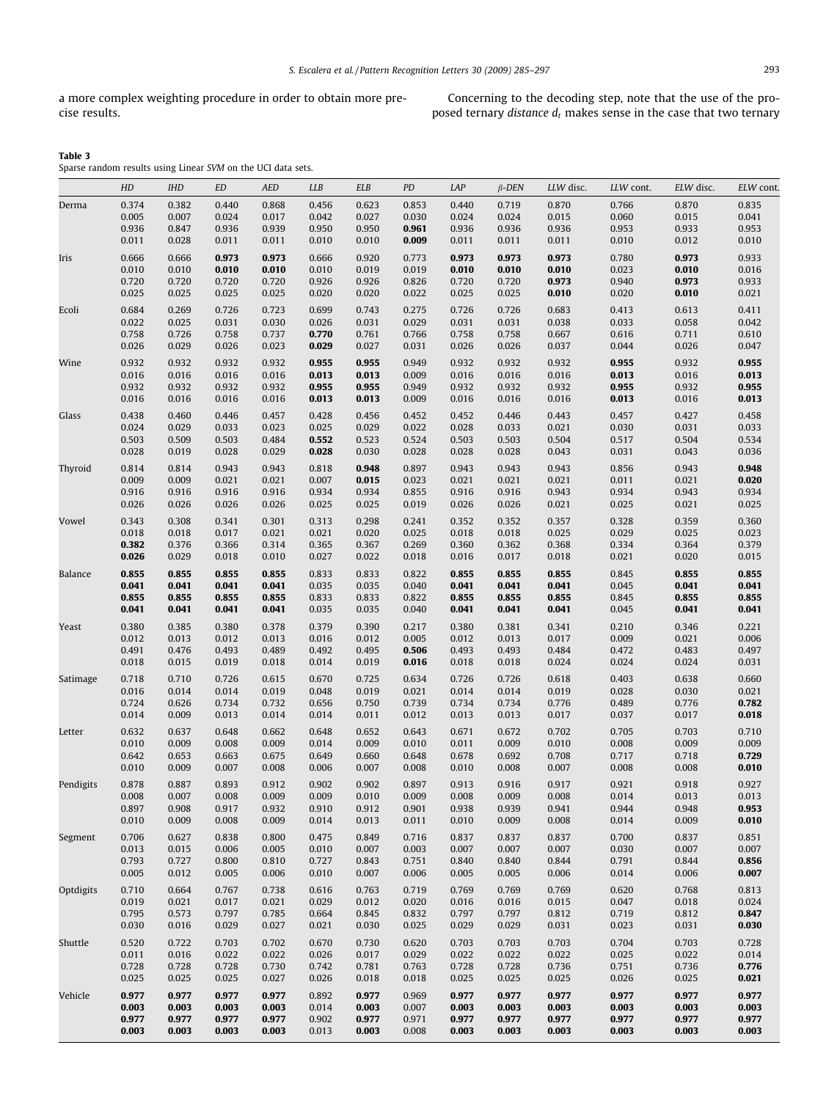a more complex weighting procedure in order to obtain more precise results.

Concerning to the decoding step, note that the use of the proposed ternary *distance*  $d_t$  makes sense in the case that two ternary

| Table 3                                                                                                            |  |  |
|--------------------------------------------------------------------------------------------------------------------|--|--|
| and the second state of the second state of the second state of the second state of the second state of the second |  |  |

Sparse random results using Linear SVM on the UCI data sets.

|           | HD             | <b>IHD</b>     | ED             | <b>AED</b>     | <b>LLB</b>     | ELB            | PD             | LAP            | $\beta$ -DEN   | LLW disc.      | LLW cont.      | ELW disc.                                                                                                                                                                                                                                                                                                                                                            | ELW cont.      |
|-----------|----------------|----------------|----------------|----------------|----------------|----------------|----------------|----------------|----------------|----------------|----------------|----------------------------------------------------------------------------------------------------------------------------------------------------------------------------------------------------------------------------------------------------------------------------------------------------------------------------------------------------------------------|----------------|
| Derma     | 0.374          | 0.382          | 0.440          | 0.868          | 0.456          | 0.623          | 0.853          | 0.440          | 0.719          | 0.870          | 0.766          | 0.870<br>0.015<br>0.933<br>0.012<br>0.973<br>0.010<br>0.973<br>0.010<br>0.613<br>0.058<br>0.711<br>0.026<br>0.932<br>0.016<br>0.932<br>0.016<br>0.427<br>0.031<br>0.504<br>0.043<br>0.943<br>0.021<br>0.943<br>0.021<br>0.359<br>0.025<br>0.364<br>0.020<br>0.855<br>0.041<br>0.855<br>0.041<br>0.346<br>0.021<br>0.483<br>0.024<br>0.638<br>0.030<br>0.776<br>0.017 | 0.835          |
|           | 0.005          | 0.007          | 0.024          | 0.017          | 0.042          | 0.027          | 0.030          | 0.024          | 0.024          | 0.015          | 0.060          |                                                                                                                                                                                                                                                                                                                                                                      | 0.041          |
|           | 0.936          | 0.847          | 0.936          | 0.939          | 0.950          | 0.950          | 0.961          | 0.936          | 0.936          | 0.936          | 0.953          |                                                                                                                                                                                                                                                                                                                                                                      | 0.953          |
|           | 0.011          | 0.028          | 0.011          | 0.011          | 0.010          | 0.010          | 0.009          | 0.011          | 0.011          | 0.011          | 0.010          |                                                                                                                                                                                                                                                                                                                                                                      | 0.010          |
| Iris      | 0.666          | 0.666          | 0.973          | 0.973          | 0.666          | 0.920          | 0.773          | 0.973          | 0.973          | 0.973          | 0.780          | 0.703<br>0.009<br>0.718<br>0.008<br>0.918<br>0.013<br>0.948<br>0.009<br>0.837<br>0.007<br>0.844<br>0.006<br>0.768<br>0.018                                                                                                                                                                                                                                           | 0.933          |
|           | 0.010          | 0.010          | 0.010          | 0.010          | 0.010          | 0.019          | 0.019          | 0.010          | 0.010          | 0.010          | 0.023          |                                                                                                                                                                                                                                                                                                                                                                      | 0.016          |
|           | 0.720<br>0.025 | 0.720<br>0.025 | 0.720<br>0.025 | 0.720<br>0.025 | 0.926<br>0.020 | 0.926<br>0.020 | 0.826<br>0.022 | 0.720<br>0.025 | 0.720<br>0.025 | 0.973<br>0.010 | 0.940<br>0.020 |                                                                                                                                                                                                                                                                                                                                                                      | 0.933<br>0.021 |
|           |                |                |                |                |                |                |                |                |                |                |                |                                                                                                                                                                                                                                                                                                                                                                      |                |
| Ecoli     | 0.684<br>0.022 | 0.269<br>0.025 | 0.726<br>0.031 | 0.723<br>0.030 | 0.699<br>0.026 | 0.743<br>0.031 | 0.275<br>0.029 | 0.726<br>0.031 | 0.726<br>0.031 | 0.683<br>0.038 | 0.413<br>0.033 |                                                                                                                                                                                                                                                                                                                                                                      | 0.411<br>0.042 |
|           | 0.758          | 0.726          | 0.758          | 0.737          | 0.770          | 0.761          | 0.766          | 0.758          | 0.758          | 0.667          | 0.616          |                                                                                                                                                                                                                                                                                                                                                                      | 0.610          |
|           | 0.026          | 0.029          | 0.026          | 0.023          | 0.029          | 0.027          | 0.031          | 0.026          | 0.026          | 0.037          | 0.044          |                                                                                                                                                                                                                                                                                                                                                                      | 0.047          |
| Wine      | 0.932          | 0.932          | 0.932          | 0.932          | 0.955          | 0.955          | 0.949          | 0.932          | 0.932          | 0.932          | 0.955          |                                                                                                                                                                                                                                                                                                                                                                      | 0.955          |
|           | 0.016          | 0.016          | 0.016          | 0.016          | 0.013          | 0.013          | 0.009          | 0.016          | 0.016          | 0.016          | 0.013          |                                                                                                                                                                                                                                                                                                                                                                      | 0.013          |
|           | 0.932          | 0.932          | 0.932          | 0.932          | 0.955          | 0.955          | 0.949          | 0.932          | 0.932          | 0.932          | 0.955          |                                                                                                                                                                                                                                                                                                                                                                      | 0.955          |
|           | 0.016          | 0.016          | 0.016          | 0.016          | 0.013          | 0.013          | 0.009          | 0.016          | 0.016          | 0.016          | 0.013          |                                                                                                                                                                                                                                                                                                                                                                      | 0.013          |
| Glass     | 0.438          | 0.460          | 0.446          | 0.457          | 0.428          | 0.456          | 0.452          | 0.452          | 0.446          | 0.443          | 0.457          |                                                                                                                                                                                                                                                                                                                                                                      | 0.458          |
|           | 0.024          | 0.029          | 0.033          | 0.023          | 0.025          | 0.029          | 0.022          | 0.028          | 0.033          | 0.021          | 0.030          |                                                                                                                                                                                                                                                                                                                                                                      | 0.033          |
|           | 0.503          | 0.509          | 0.503          | 0.484          | 0.552          | 0.523          | 0.524          | 0.503          | 0.503          | 0.504          | 0.517          |                                                                                                                                                                                                                                                                                                                                                                      | 0.534          |
|           | 0.028          | 0.019          | 0.028          | 0.029          | 0.028          | 0.030          | 0.028          | 0.028          | 0.028          | 0.043          | 0.031          |                                                                                                                                                                                                                                                                                                                                                                      | 0.036          |
| Thyroid   | 0.814          | 0.814          | 0.943          | 0.943          | 0.818          | 0.948          | 0.897          | 0.943          | 0.943          | 0.943          | 0.856          |                                                                                                                                                                                                                                                                                                                                                                      | 0.948          |
|           | 0.009          | 0.009          | 0.021          | 0.021          | 0.007          | 0.015          | 0.023          | 0.021          | 0.021          | 0.021          | 0.011          |                                                                                                                                                                                                                                                                                                                                                                      | 0.020          |
|           | 0.916          | 0.916          | 0.916          | 0.916          | 0.934          | 0.934          | 0.855          | 0.916          | 0.916          | 0.943          | 0.934          |                                                                                                                                                                                                                                                                                                                                                                      | 0.934          |
|           | 0.026          | 0.026          | 0.026          | 0.026          | 0.025          | 0.025          | 0.019          | 0.026          | 0.026          | 0.021          | 0.025          |                                                                                                                                                                                                                                                                                                                                                                      | 0.025          |
| Vowel     | 0.343          | 0.308          | 0.341          | 0.301          | 0.313          | 0.298          | 0.241          | 0.352          | 0.352          | 0.357          | 0.328          |                                                                                                                                                                                                                                                                                                                                                                      | 0.360          |
|           | 0.018<br>0.382 | 0.018<br>0.376 | 0.017<br>0.366 | 0.021<br>0.314 | 0.021<br>0.365 | 0.020<br>0.367 | 0.025<br>0.269 | 0.018<br>0.360 | 0.018<br>0.362 | 0.025<br>0.368 | 0.029<br>0.334 |                                                                                                                                                                                                                                                                                                                                                                      | 0.023<br>0.379 |
|           | 0.026          | 0.029          | 0.018          | 0.010          | 0.027          | 0.022          | 0.018          | 0.016          | 0.017          | 0.018          | 0.021          |                                                                                                                                                                                                                                                                                                                                                                      | 0.015          |
| Balance   |                |                |                |                |                |                |                |                |                |                |                |                                                                                                                                                                                                                                                                                                                                                                      | 0.855          |
|           | 0.855<br>0.041 | 0.855<br>0.041 | 0.855<br>0.041 | 0.855<br>0.041 | 0.833<br>0.035 | 0.833<br>0.035 | 0.822<br>0.040 | 0.855<br>0.041 | 0.855<br>0.041 | 0.855<br>0.041 | 0.845<br>0.045 |                                                                                                                                                                                                                                                                                                                                                                      | 0.041          |
|           | 0.855          | 0.855          | 0.855          | 0.855          | 0.833          | 0.833          | 0.822          | 0.855          | 0.855          | 0.855          | 0.845          |                                                                                                                                                                                                                                                                                                                                                                      | 0.855          |
|           | 0.041          | 0.041          | 0.041          | 0.041          | 0.035          | 0.035          | 0.040          | 0.041          | 0.041          | 0.041          | 0.045          |                                                                                                                                                                                                                                                                                                                                                                      | 0.041          |
| Yeast     | 0.380          | 0.385          | 0.380          | 0.378          | 0.379          | 0.390          | 0.217          | 0.380          | 0.381          | 0.341          | 0.210          |                                                                                                                                                                                                                                                                                                                                                                      | 0.221          |
|           | 0.012          | 0.013          | 0.012          | 0.013          | 0.016          | 0.012          | 0.005          | 0.012          | 0.013          | 0.017          | 0.009          |                                                                                                                                                                                                                                                                                                                                                                      | 0.006          |
|           | 0.491          | 0.476          | 0.493          | 0.489          | 0.492          | 0.495          | 0.506          | 0.493          | 0.493          | 0.484          | 0.472          |                                                                                                                                                                                                                                                                                                                                                                      | 0.497          |
|           | 0.018          | 0.015          | 0.019          | 0.018          | 0.014          | 0.019          | 0.016          | 0.018          | 0.018          | 0.024          | 0.024          |                                                                                                                                                                                                                                                                                                                                                                      | 0.031          |
| Satimage  | 0.718          | 0.710          | 0.726          | 0.615          | 0.670          | 0.725          | 0.634          | 0.726          | 0.726          | 0.618          | 0.403          |                                                                                                                                                                                                                                                                                                                                                                      | 0.660          |
|           | 0.016          | 0.014          | 0.014          | 0.019          | 0.048          | 0.019          | 0.021          | 0.014          | 0.014          | 0.019          | 0.028          |                                                                                                                                                                                                                                                                                                                                                                      | 0.021          |
|           | 0.724          | 0.626          | 0.734          | 0.732          | 0.656          | 0.750          | 0.739          | 0.734          | 0.734          | 0.776          | 0.489          |                                                                                                                                                                                                                                                                                                                                                                      | 0.782          |
|           | 0.014          | 0.009          | 0.013          | 0.014          | 0.014          | 0.011          | 0.012          | 0.013          | 0.013          | 0.017          | 0.037          |                                                                                                                                                                                                                                                                                                                                                                      | 0.018          |
| Letter    | 0.632          | 0.637          | 0.648          | 0.662          | 0.648          | 0.652          | 0.643          | 0.671          | 0.672          | 0.702          | 0.705          |                                                                                                                                                                                                                                                                                                                                                                      | 0.710          |
|           | 0.010<br>0.642 | 0.009<br>0.653 | 0.008<br>0.663 | 0.009<br>0.675 | 0.014<br>0.649 | 0.009<br>0.660 | 0.010<br>0.648 | 0.011<br>0.678 | 0.009<br>0.692 | 0.010<br>0.708 | 0.008<br>0.717 |                                                                                                                                                                                                                                                                                                                                                                      | 0.009<br>0.729 |
|           | 0.010          | 0.009          | 0.007          | 0.008          | 0.006          | 0.007          | 0.008          | 0.010          | 0.008          | 0.007          | 0.008          |                                                                                                                                                                                                                                                                                                                                                                      | 0.010          |
|           |                |                |                |                |                |                |                |                |                |                |                |                                                                                                                                                                                                                                                                                                                                                                      |                |
| Pendigits | 0.878<br>0.008 | 0.887<br>0.007 | 0.893<br>0.008 | 0.912<br>0.009 | 0.902<br>0.009 | 0.902<br>0.010 | 0.897<br>0.009 | 0.913<br>0.008 | 0.916<br>0.009 | 0.917<br>0.008 | 0.921<br>0.014 |                                                                                                                                                                                                                                                                                                                                                                      | 0.927<br>0.013 |
|           | 0.897          | 0.908          | 0.917          | 0.932          | 0.910          | 0.912          | 0.901          | 0.938          | 0.939          | 0.941          | 0.944          |                                                                                                                                                                                                                                                                                                                                                                      | 0.953          |
|           | 0.010          | 0.009          | 0.008          | 0.009          | 0.014          | 0.013          | 0.011          | 0.010          | 0.009          | 0.008          | 0.014          |                                                                                                                                                                                                                                                                                                                                                                      | 0.010          |
| Segment   | 0.706          | 0.627          | 0.838          | 0.800          | 0.475          | 0.849          | 0.716          | 0.837          | 0.837          | 0.837          | 0.700          |                                                                                                                                                                                                                                                                                                                                                                      | 0.851          |
|           | 0.013          | 0.015          | 0.006          | 0.005          | 0.010          | 0.007          | 0.003          | 0.007          | 0.007          | 0.007          | 0.030          |                                                                                                                                                                                                                                                                                                                                                                      | 0.007          |
|           | 0.793          | 0.727          | 0.800          | 0.810          | 0.727          | 0.843          | 0.751          | 0.840          | 0.840          | 0.844          | 0.791          |                                                                                                                                                                                                                                                                                                                                                                      | 0.856          |
|           | 0.005          | 0.012          | 0.005          | 0.006          | 0.010          | 0.007          | 0.006          | 0.005          | 0.005          | 0.006          | 0.014          |                                                                                                                                                                                                                                                                                                                                                                      | 0.007          |
| Optdigits | 0.710          | 0.664          | 0.767          | 0.738          | 0.616          | 0.763          | 0.719          | 0.769          | 0.769          | 0.769          | 0.620          |                                                                                                                                                                                                                                                                                                                                                                      | 0.813          |
|           | 0.019          | 0.021          | 0.017          | 0.021          | 0.029          | 0.012          | 0.020          | 0.016          | 0.016          | 0.015          | 0.047          |                                                                                                                                                                                                                                                                                                                                                                      | 0.024          |
|           | 0.795          | 0.573          | 0.797          | 0.785          | 0.664          | 0.845          | 0.832          | 0.797          | 0.797          | 0.812          | 0.719          | 0.812                                                                                                                                                                                                                                                                                                                                                                | 0.847          |
|           | 0.030          | 0.016          | 0.029          | 0.027          | 0.021          | 0.030          | 0.025          | 0.029          | 0.029          | 0.031          | 0.023          | 0.031                                                                                                                                                                                                                                                                                                                                                                | 0.030          |
| Shuttle   | 0.520          | 0.722          | 0.703          | 0.702          | 0.670          | 0.730          | 0.620          | 0.703          | 0.703          | 0.703          | 0.704          | 0.703                                                                                                                                                                                                                                                                                                                                                                | 0.728          |
|           | 0.011          | 0.016          | 0.022          | 0.022          | 0.026          | 0.017          | 0.029          | 0.022          | 0.022          | 0.022          | 0.025          | 0.022                                                                                                                                                                                                                                                                                                                                                                | 0.014          |
|           | 0.728<br>0.025 | 0.728<br>0.025 | 0.728<br>0.025 | 0.730<br>0.027 | 0.742<br>0.026 | 0.781<br>0.018 | 0.763<br>0.018 | 0.728<br>0.025 | 0.728<br>0.025 | 0.736<br>0.025 | 0.751<br>0.026 | 0.736<br>0.025                                                                                                                                                                                                                                                                                                                                                       | 0.776<br>0.021 |
|           |                |                |                |                |                |                |                |                |                |                |                |                                                                                                                                                                                                                                                                                                                                                                      |                |
| Vehicle   | 0.977          | 0.977          | 0.977          | 0.977          | 0.892          | 0.977          | 0.969          | 0.977          | 0.977          | 0.977          | 0.977          | 0.977                                                                                                                                                                                                                                                                                                                                                                | 0.977          |
|           | 0.003<br>0.977 | 0.003<br>0.977 | 0.003<br>0.977 | 0.003<br>0.977 | 0.014<br>0.902 | 0.003<br>0.977 | 0.007<br>0.971 | 0.003<br>0.977 | 0.003<br>0.977 | 0.003<br>0.977 | 0.003<br>0.977 | 0.003<br>0.977                                                                                                                                                                                                                                                                                                                                                       | 0.003<br>0.977 |
|           | 0.003          | 0.003          | 0.003          | 0.003          | 0.013          | 0.003          | 0.008          | 0.003          | 0.003          | 0.003          | 0.003          | 0.003                                                                                                                                                                                                                                                                                                                                                                | 0.003          |
|           |                |                |                |                |                |                |                |                |                |                |                |                                                                                                                                                                                                                                                                                                                                                                      |                |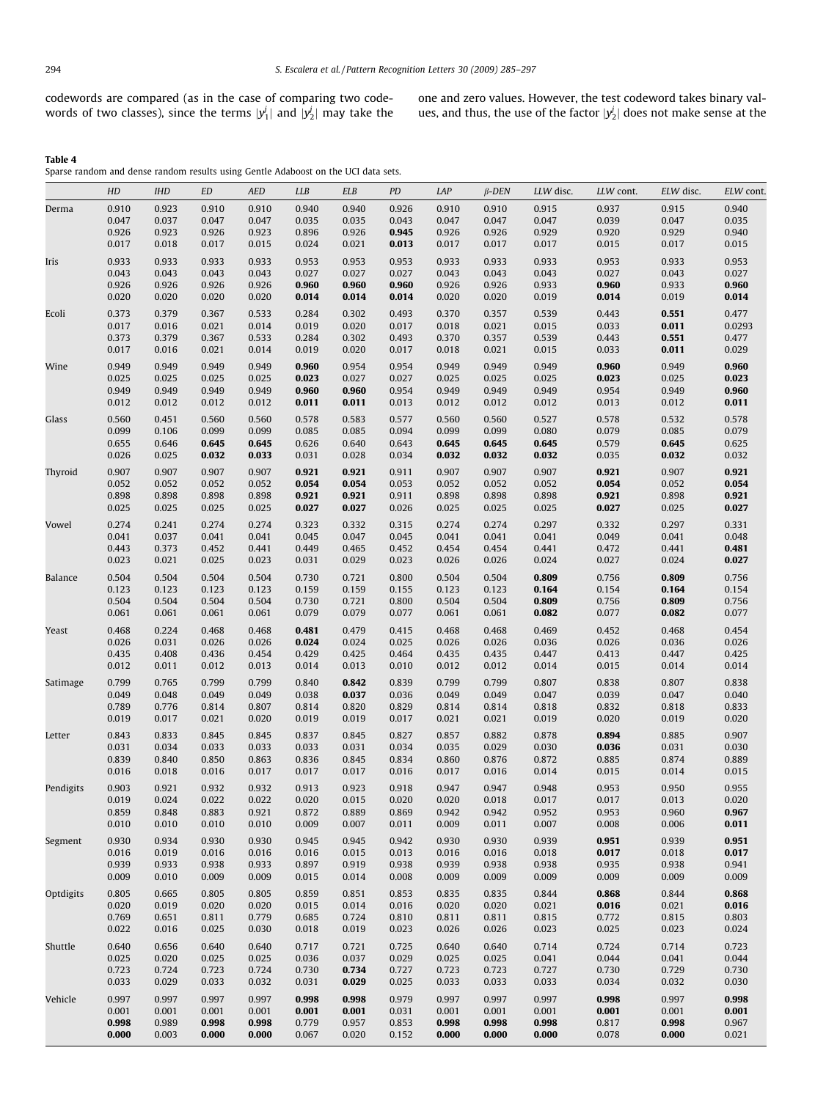<span id="page-9-0"></span>codewords are compared (as in the case of comparing two codewords of two classes), since the terms  $|y_1^j|$  and  $|y_2^j|$  may take the

one and zero values. However, the test codeword takes binary values, and thus, the use of the factor  $|y_2^j|$  does not make sense at the

Table 4

Sparse random and dense random results using Gentle Adaboost on the UCI data sets.

|                | HD             | <b>IHD</b>     | <b>ED</b>      | AED            | <b>LLB</b>     | <b>ELB</b>     | PD             | LAP            | $\beta$ -DEN   | LLW disc.      | LLW cont.      | ELW disc.      | ELW cont.       |
|----------------|----------------|----------------|----------------|----------------|----------------|----------------|----------------|----------------|----------------|----------------|----------------|----------------|-----------------|
| Derma          | 0.910          | 0.923          | 0.910          | 0.910          | 0.940          | 0.940          | 0.926          | 0.910          | 0.910          | 0.915          | 0.937          | 0.915          | 0.940           |
|                | 0.047          | 0.037          | 0.047          | 0.047          | 0.035          | 0.035          | 0.043          | 0.047          | 0.047          | 0.047          | 0.039          | 0.047          | 0.035           |
|                | 0.926          | 0.923          | 0.926          | 0.923          | 0.896          | 0.926          | 0.945          | 0.926          | 0.926          | 0.929          | 0.920          | 0.929          | 0.940           |
|                | 0.017          | 0.018          | 0.017          | 0.015          | 0.024          | 0.021          | 0.013          | 0.017          | 0.017          | 0.017          | 0.015          | 0.017          | 0.015           |
| Iris           | 0.933          | 0.933          | 0.933          | 0.933          | 0.953          | 0.953          | 0.953          | 0.933          | 0.933          | 0.933          | 0.953          | 0.933          | 0.953           |
|                | 0.043          | 0.043          | 0.043          | 0.043          | 0.027          | 0.027          | 0.027          | 0.043          | 0.043          | 0.043          | 0.027          | 0.043          | 0.027           |
|                | 0.926          | 0.926          | 0.926          | 0.926          | 0.960          | 0.960          | 0.960          | 0.926          | 0.926          | 0.933          | 0.960          | 0.933          | 0.960           |
|                | 0.020          | 0.020          | 0.020          | 0.020          | 0.014          | 0.014          | 0.014          | 0.020          | 0.020          | 0.019          | 0.014          | 0.019          | 0.014           |
| Ecoli          | 0.373          | 0.379          | 0.367          | 0.533          | 0.284          | 0.302          | 0.493          | 0.370          | 0.357          | 0.539          | 0.443          | 0.551          | 0.477           |
|                | 0.017<br>0.373 | 0.016          | 0.021          | 0.014          | 0.019          | 0.020          | 0.017          | 0.018          | 0.021          | 0.015<br>0.539 | 0.033          | 0.011          | 0.0293<br>0.477 |
|                | 0.017          | 0.379<br>0.016 | 0.367<br>0.021 | 0.533<br>0.014 | 0.284<br>0.019 | 0.302<br>0.020 | 0.493<br>0.017 | 0.370<br>0.018 | 0.357<br>0.021 | 0.015          | 0.443<br>0.033 | 0.551<br>0.011 | 0.029           |
|                |                |                |                |                |                |                |                |                |                |                |                |                |                 |
| Wine           | 0.949<br>0.025 | 0.949<br>0.025 | 0.949<br>0.025 | 0.949<br>0.025 | 0.960<br>0.023 | 0.954<br>0.027 | 0.954<br>0.027 | 0.949<br>0.025 | 0.949<br>0.025 | 0.949<br>0.025 | 0.960<br>0.023 | 0.949<br>0.025 | 0.960<br>0.023  |
|                | 0.949          | 0.949          | 0.949          | 0.949          | 0.960          | 0.960          | 0.954          | 0.949          | 0.949          | 0.949          | 0.954          | 0.949          | 0.960           |
|                | 0.012          | 0.012          | 0.012          | 0.012          | 0.011          | 0.011          | 0.013          | 0.012          | 0.012          | 0.012          | 0.013          | 0.012          | 0.011           |
| Glass          | 0.560          | 0.451          | 0.560          | 0.560          | 0.578          | 0.583          | 0.577          | 0.560          | 0.560          | 0.527          | 0.578          | 0.532          | 0.578           |
|                | 0.099          | 0.106          | 0.099          | 0.099          | 0.085          | 0.085          | 0.094          | 0.099          | 0.099          | 0.080          | 0.079          | 0.085          | 0.079           |
|                | 0.655          | 0.646          | 0.645          | 0.645          | 0.626          | 0.640          | 0.643          | 0.645          | 0.645          | 0.645          | 0.579          | 0.645          | 0.625           |
|                | 0.026          | 0.025          | 0.032          | 0.033          | 0.031          | 0.028          | 0.034          | 0.032          | 0.032          | 0.032          | 0.035          | 0.032          | 0.032           |
| Thyroid        | 0.907          | 0.907          | 0.907          | 0.907          | 0.921          | 0.921          | 0.911          | 0.907          | 0.907          | 0.907          | 0.921          | 0.907          | 0.921           |
|                | 0.052          | 0.052          | 0.052          | 0.052          | 0.054          | 0.054          | 0.053          | 0.052          | 0.052          | 0.052          | 0.054          | 0.052          | 0.054           |
|                | 0.898          | 0.898          | 0.898          | 0.898          | 0.921          | 0.921          | 0.911          | 0.898          | 0.898          | 0.898          | 0.921          | 0.898          | 0.921           |
|                | 0.025          | 0.025          | 0.025          | 0.025          | 0.027          | 0.027          | 0.026          | 0.025          | 0.025          | 0.025          | 0.027          | 0.025          | 0.027           |
| Vowel          | 0.274          | 0.241          | 0.274          | 0.274          | 0.323          | 0.332          | 0.315          | 0.274          | 0.274          | 0.297          | 0.332          | 0.297          | 0.331           |
|                | 0.041          | 0.037          | 0.041          | 0.041          | 0.045          | 0.047          | 0.045          | 0.041          | 0.041          | 0.041          | 0.049          | 0.041          | 0.048           |
|                | 0.443          | 0.373          | 0.452          | 0.441          | 0.449          | 0.465          | 0.452          | 0.454          | 0.454          | 0.441          | 0.472          | 0.441          | 0.481           |
|                | 0.023          | 0.021          | 0.025          | 0.023          | 0.031          | 0.029          | 0.023          | 0.026          | 0.026          | 0.024          | 0.027          | 0.024          | 0.027           |
| <b>Balance</b> | 0.504          | 0.504          | 0.504          | 0.504          | 0.730          | 0.721          | 0.800          | 0.504          | 0.504          | 0.809          | 0.756          | 0.809          | 0.756           |
|                | 0.123          | 0.123          | 0.123          | 0.123          | 0.159          | 0.159          | 0.155          | 0.123          | 0.123          | 0.164          | 0.154          | 0.164          | 0.154           |
|                | 0.504          | 0.504          | 0.504          | 0.504          | 0.730          | 0.721          | 0.800          | 0.504          | 0.504          | 0.809          | 0.756          | 0.809          | 0.756           |
|                | 0.061          | 0.061          | 0.061          | 0.061          | 0.079          | 0.079          | 0.077          | 0.061          | 0.061          | 0.082          | 0.077          | 0.082          | 0.077           |
| Yeast          | 0.468          | 0.224          | 0.468          | 0.468          | 0.481          | 0.479          | 0.415          | 0.468          | 0.468          | 0.469          | 0.452          | 0.468          | 0.454           |
|                | 0.026          | 0.031          | 0.026          | 0.026          | 0.024          | 0.024          | 0.025          | 0.026          | 0.026          | 0.036          | 0.026          | 0.036          | 0.026           |
|                | 0.435<br>0.012 | 0.408          | 0.436<br>0.012 | 0.454<br>0.013 | 0.429<br>0.014 | 0.425<br>0.013 | 0.464<br>0.010 | 0.435<br>0.012 | 0.435<br>0.012 | 0.447<br>0.014 | 0.413<br>0.015 | 0.447<br>0.014 | 0.425<br>0.014  |
|                |                | 0.011          |                |                |                |                |                |                |                |                |                |                |                 |
| Satimage       | 0.799          | 0.765          | 0.799          | 0.799          | 0.840          | 0.842          | 0.839          | 0.799          | 0.799          | 0.807          | 0.838          | 0.807          | 0.838           |
|                | 0.049<br>0.789 | 0.048<br>0.776 | 0.049<br>0.814 | 0.049<br>0.807 | 0.038<br>0.814 | 0.037<br>0.820 | 0.036<br>0.829 | 0.049<br>0.814 | 0.049<br>0.814 | 0.047<br>0.818 | 0.039<br>0.832 | 0.047<br>0.818 | 0.040<br>0.833  |
|                | 0.019          | 0.017          | 0.021          | 0.020          | 0.019          | 0.019          | 0.017          | 0.021          | 0.021          | 0.019          | 0.020          | 0.019          | 0.020           |
|                |                | 0.833          | 0.845          |                |                |                |                |                | 0.882          |                |                |                |                 |
| Letter         | 0.843<br>0.031 | 0.034          | 0.033          | 0.845<br>0.033 | 0.837<br>0.033 | 0.845<br>0.031 | 0.827<br>0.034 | 0.857<br>0.035 | 0.029          | 0.878<br>0.030 | 0.894<br>0.036 | 0.885<br>0.031 | 0.907<br>0.030  |
|                | 0.839          | 0.840          | 0.850          | 0.863          | 0.836          | 0.845          | 0.834          | 0.860          | 0.876          | 0.872          | 0.885          | 0.874          | 0.889           |
|                | 0.016          | 0.018          | 0.016          | 0.017          | 0.017          | 0.017          | 0.016          | 0.017          | 0.016          | 0.014          | 0.015          | 0.014          | 0.015           |
| Pendigits      | 0.903          | 0.921          | 0.932          | 0.932          | 0.913          | 0.923          | 0.918          | 0.947          | 0.947          | 0.948          | 0.953          | 0.950          | 0.955           |
|                | 0.019          | 0.024          | 0.022          | 0.022          | 0.020          | 0.015          | 0.020          | 0.020          | 0.018          | 0.017          | 0.017          | 0.013          | 0.020           |
|                | 0.859          | 0.848          | 0.883          | 0.921          | 0.872          | 0.889          | 0.869          | 0.942          | 0.942          | 0.952          | 0.953          | 0.960          | 0.967           |
|                | 0.010          | 0.010          | 0.010          | 0.010          | 0.009          | 0.007          | 0.011          | 0.009          | 0.011          | 0.007          | 0.008          | 0.006          | 0.011           |
| Segment        | 0.930          | 0.934          | 0.930          | 0.930          | 0.945          | 0.945          | 0.942          | 0.930          | 0.930          | 0.939          | 0.951          | 0.939          | 0.951           |
|                | 0.016          | 0.019          | 0.016          | 0.016          | 0.016          | 0.015          | 0.013          | 0.016          | 0.016          | 0.018          | 0.017          | 0.018          | 0.017           |
|                | 0.939          | 0.933          | 0.938          | 0.933          | 0.897          | 0.919          | 0.938          | 0.939          | 0.938          | 0.938          | 0.935          | 0.938          | 0.941           |
|                | 0.009          | 0.010          | 0.009          | 0.009          | 0.015          | 0.014          | 0.008          | 0.009          | 0.009          | 0.009          | 0.009          | 0.009          | 0.009           |
| Optdigits      | 0.805          | 0.665          | 0.805          | 0.805          | 0.859          | 0.851          | 0.853          | 0.835          | 0.835          | 0.844          | 0.868          | 0.844          | 0.868           |
|                | 0.020          | 0.019          | 0.020          | 0.020          | 0.015          | 0.014          | 0.016          | 0.020          | 0.020          | 0.021          | 0.016          | 0.021          | 0.016           |
|                | 0.769          | 0.651          | 0.811          | 0.779          | 0.685          | 0.724          | 0.810          | 0.811          | 0.811          | 0.815          | 0.772          | 0.815          | 0.803           |
|                | 0.022          | 0.016          | 0.025          | 0.030          | 0.018          | 0.019          | 0.023          | 0.026          | 0.026          | 0.023          | 0.025          | 0.023          | 0.024           |
| Shuttle        | 0.640          | 0.656          | 0.640          | 0.640          | 0.717          | 0.721          | 0.725          | 0.640          | 0.640          | 0.714          | 0.724          | 0.714          | 0.723           |
|                | 0.025          | 0.020          | 0.025          | 0.025          | 0.036          | 0.037          | 0.029          | 0.025          | 0.025          | 0.041          | 0.044          | 0.041          | 0.044           |
|                | 0.723          | 0.724          | 0.723          | 0.724          | 0.730          | 0.734          | 0.727          | 0.723          | 0.723          | 0.727          | 0.730          | 0.729          | 0.730           |
|                | 0.033          | 0.029          | 0.033          | 0.032          | 0.031          | 0.029          | 0.025          | 0.033          | 0.033          | 0.033          | 0.034          | 0.032          | 0.030           |
| Vehicle        | 0.997          | 0.997          | 0.997          | 0.997          | 0.998          | 0.998          | 0.979          | 0.997          | 0.997          | 0.997          | 0.998          | 0.997          | 0.998           |
|                | 0.001          | 0.001          | 0.001          | 0.001          | 0.001          | 0.001          | 0.031          | 0.001          | 0.001          | 0.001          | 0.001          | 0.001          | 0.001           |
|                | 0.998          | 0.989          | 0.998          | 0.998          | 0.779          | 0.957          | 0.853          | 0.998          | 0.998          | 0.998          | 0.817          | 0.998          | 0.967           |
|                | 0.000          | 0.003          | 0.000          | 0.000          | 0.067          | 0.020          | 0.152          | 0.000          | 0.000          | 0.000          | 0.078          | 0.000          | 0.021           |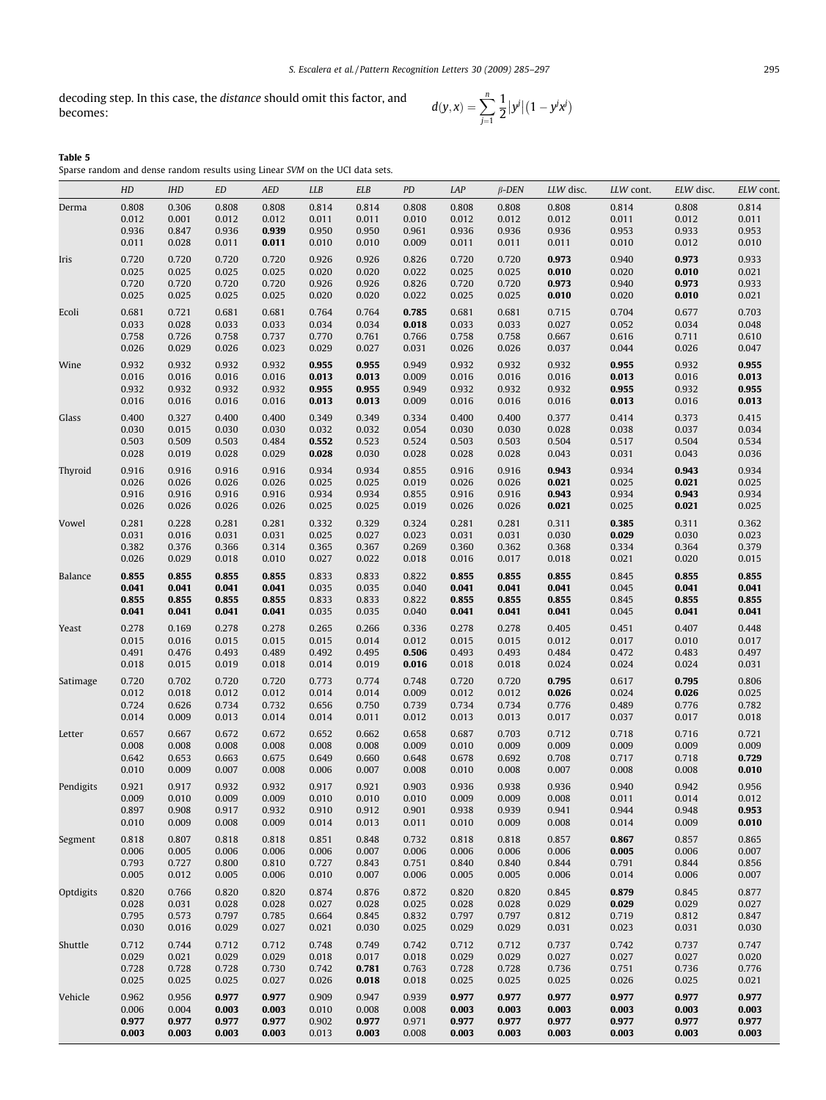decoding step. In this case, the *distance* should omit this factor, and  $d(y, x) = \sum_{n=1}^{n}$ 

$$
d(y,x) = \sum_{j=1}^{n} \frac{1}{2} |y^{j}| (1 - y^{j}x^{j})
$$

| Table 5                                                                       |  |  |  |  |  |
|-------------------------------------------------------------------------------|--|--|--|--|--|
| Sparse random and dense random results using Linear SVM on the UCI data sets. |  |  |  |  |  |

|           | HD             | IHD            | ED             | AED            | <b>LLB</b>     | <b>ELB</b>     | PD             | LAP            | $\beta$ -DEN   | LLW disc.      | LLW cont.      | ELW disc.      | ELW cont.      |
|-----------|----------------|----------------|----------------|----------------|----------------|----------------|----------------|----------------|----------------|----------------|----------------|----------------|----------------|
| Derma     | 0.808          | 0.306          | 0.808          | 0.808          | 0.814          | 0.814          | 0.808          | 0.808          | 0.808          | 0.808          | 0.814          | 0.808          | 0.814          |
|           | 0.012          | 0.001          | 0.012          | 0.012          | 0.011          | 0.011          | 0.010          | 0.012          | 0.012          | 0.012          | 0.011          | 0.012          | 0.011          |
|           | 0.936          | 0.847          | 0.936          | 0.939          | 0.950          | 0.950          | 0.961          | 0.936          | 0.936          | 0.936          | 0.953          | 0.933          | 0.953          |
|           | 0.011          | 0.028          | 0.011          | 0.011          | 0.010          | 0.010          | 0.009          | 0.011          | 0.011          | 0.011          | 0.010          | 0.012          | 0.010          |
| Iris      | 0.720          | 0.720          | 0.720          | 0.720          | 0.926          | 0.926          | 0.826          | 0.720          | 0.720          | 0.973          | 0.940          | 0.973          | 0.933          |
|           | 0.025<br>0.720 | 0.025<br>0.720 | 0.025<br>0.720 | 0.025<br>0.720 | 0.020<br>0.926 | 0.020<br>0.926 | 0.022<br>0.826 | 0.025<br>0.720 | 0.025<br>0.720 | 0.010<br>0.973 | 0.020<br>0.940 | 0.010<br>0.973 | 0.021<br>0.933 |
|           | 0.025          | 0.025          | 0.025          | 0.025          | 0.020          | 0.020          | 0.022          | 0.025          | 0.025          | 0.010          | 0.020          | 0.010          | 0.021          |
| Ecoli     | 0.681          | 0.721          | 0.681          | 0.681          | 0.764          | 0.764          | 0.785          | 0.681          | 0.681          | 0.715          | 0.704          | 0.677          | 0.703          |
|           | 0.033          | 0.028          | 0.033          | 0.033          | 0.034          | 0.034          | 0.018          | 0.033          | 0.033          | 0.027          | 0.052          | 0.034          | 0.048          |
|           | 0.758          | 0.726          | 0.758          | 0.737          | 0.770          | 0.761          | 0.766          | 0.758          | 0.758          | 0.667          | 0.616          | 0.711          | 0.610          |
|           | 0.026          | 0.029          | 0.026          | 0.023          | 0.029          | 0.027          | 0.031          | 0.026          | 0.026          | 0.037          | 0.044          | 0.026          | 0.047          |
| Wine      | 0.932          | 0.932          | 0.932          | 0.932          | 0.955          | 0.955          | 0.949          | 0.932          | 0.932          | 0.932          | 0.955          | 0.932          | 0.955          |
|           | 0.016          | 0.016          | 0.016          | 0.016          | 0.013          | 0.013          | 0.009          | 0.016          | 0.016          | 0.016          | 0.013          | 0.016          | 0.013          |
|           | 0.932          | 0.932          | 0.932          | 0.932          | 0.955          | 0.955          | 0.949          | 0.932          | 0.932          | 0.932          | 0.955          | 0.932          | 0.955          |
|           | 0.016          | 0.016          | 0.016          | 0.016          | 0.013          | 0.013          | 0.009          | 0.016          | 0.016          | 0.016          | 0.013          | 0.016          | 0.013          |
| Glass     | 0.400          | 0.327          | 0.400          | 0.400          | 0.349          | 0.349          | 0.334          | 0.400          | 0.400          | 0.377          | 0.414          | 0.373          | 0.415          |
|           | 0.030<br>0.503 | 0.015<br>0.509 | 0.030<br>0.503 | 0.030<br>0.484 | 0.032<br>0.552 | 0.032<br>0.523 | 0.054<br>0.524 | 0.030<br>0.503 | 0.030<br>0.503 | 0.028<br>0.504 | 0.038<br>0.517 | 0.037<br>0.504 | 0.034<br>0.534 |
|           | 0.028          | 0.019          | 0.028          | 0.029          | 0.028          | 0.030          | 0.028          | 0.028          | 0.028          | 0.043          | 0.031          | 0.043          | 0.036          |
| Thyroid   | 0.916          | 0.916          | 0.916          | 0.916          | 0.934          | 0.934          | 0.855          | 0.916          | 0.916          | 0.943          | 0.934          | 0.943          | 0.934          |
|           | 0.026          | 0.026          | 0.026          | 0.026          | 0.025          | 0.025          | 0.019          | 0.026          | 0.026          | 0.021          | 0.025          | 0.021          | 0.025          |
|           | 0.916          | 0.916          | 0.916          | 0.916          | 0.934          | 0.934          | 0.855          | 0.916          | 0.916          | 0.943          | 0.934          | 0.943          | 0.934          |
|           | 0.026          | 0.026          | 0.026          | 0.026          | 0.025          | 0.025          | 0.019          | 0.026          | 0.026          | 0.021          | 0.025          | 0.021          | 0.025          |
| Vowel     | 0.281          | 0.228          | 0.281          | 0.281          | 0.332          | 0.329          | 0.324          | 0.281          | 0.281          | 0.311          | 0.385          | 0.311          | 0.362          |
|           | 0.031          | 0.016          | 0.031          | 0.031          | 0.025          | 0.027          | 0.023          | 0.031          | 0.031          | 0.030          | 0.029          | 0.030          | 0.023          |
|           | 0.382          | 0.376          | 0.366          | 0.314          | 0.365          | 0.367          | 0.269          | 0.360          | 0.362          | 0.368          | 0.334          | 0.364          | 0.379          |
|           | 0.026          | 0.029          | 0.018          | 0.010          | 0.027          | 0.022          | 0.018          | 0.016          | 0.017          | 0.018          | 0.021          | 0.020          | 0.015          |
| Balance   | 0.855          | 0.855          | 0.855          | 0.855          | 0.833          | 0.833          | 0.822          | 0.855          | 0.855          | 0.855          | 0.845          | 0.855          | 0.855          |
|           | 0.041<br>0.855 | 0.041<br>0.855 | 0.041<br>0.855 | 0.041<br>0.855 | 0.035<br>0.833 | 0.035<br>0.833 | 0.040<br>0.822 | 0.041<br>0.855 | 0.041<br>0.855 | 0.041<br>0.855 | 0.045<br>0.845 | 0.041<br>0.855 | 0.041<br>0.855 |
|           | 0.041          | 0.041          | 0.041          | 0.041          | 0.035          | 0.035          | 0.040          | 0.041          | 0.041          | 0.041          | 0.045          | 0.041          | 0.041          |
| Yeast     | 0.278          | 0.169          | 0.278          | 0.278          | 0.265          | 0.266          | 0.336          | 0.278          | 0.278          | 0.405          | 0.451          | 0.407          | 0.448          |
|           | 0.015          | 0.016          | 0.015          | 0.015          | 0.015          | 0.014          | 0.012          | 0.015          | 0.015          | 0.012          | 0.017          | 0.010          | 0.017          |
|           | 0.491          | 0.476          | 0.493          | 0.489          | 0.492          | 0.495          | 0.506          | 0.493          | 0.493          | 0.484          | 0.472          | 0.483          | 0.497          |
|           | 0.018          | 0.015          | 0.019          | 0.018          | 0.014          | 0.019          | 0.016          | 0.018          | 0.018          | 0.024          | 0.024          | 0.024          | 0.031          |
| Satimage  | 0.720          | 0.702          | 0.720          | 0.720          | 0.773          | 0.774          | 0.748          | 0.720          | 0.720          | 0.795          | 0.617          | 0.795          | 0.806          |
|           | 0.012          | 0.018          | 0.012          | 0.012          | 0.014          | 0.014          | 0.009          | 0.012          | 0.012          | 0.026          | 0.024          | 0.026          | 0.025          |
|           | 0.724<br>0.014 | 0.626<br>0.009 | 0.734<br>0.013 | 0.732<br>0.014 | 0.656<br>0.014 | 0.750<br>0.011 | 0.739<br>0.012 | 0.734<br>0.013 | 0.734<br>0.013 | 0.776<br>0.017 | 0.489<br>0.037 | 0.776<br>0.017 | 0.782<br>0.018 |
|           |                |                |                |                |                |                |                |                |                |                |                |                | 0.721          |
| Letter    | 0.657<br>0.008 | 0.667<br>0.008 | 0.672<br>0.008 | 0.672<br>0.008 | 0.652<br>0.008 | 0.662<br>0.008 | 0.658<br>0.009 | 0.687<br>0.010 | 0.703<br>0.009 | 0.712<br>0.009 | 0.718<br>0.009 | 0.716<br>0.009 | 0.009          |
|           | 0.642          | 0.653          | 0.663          | 0.675          | 0.649          | 0.660          | 0.648          | 0.678          | 0.692          | 0.708          | 0.717          | 0.718          | 0.729          |
|           | 0.010          | 0.009          | 0.007          | 0.008          | 0.006          | 0.007          | 0.008          | 0.010          | 0.008          | 0.007          | 0.008          | 0.008          | 0.010          |
| Pendigits | 0.921          | 0.917          | 0.932          | 0.932          | 0.917          | 0.921          | 0.903          | 0.936          | 0.938          | 0.936          | 0.940          | 0.942          | 0.956          |
|           | 0.009          | 0.010          | 0.009          | 0.009          | 0.010          | 0.010          | 0.010          | 0.009          | 0.009          | 0.008          | 0.011          | 0.014          | 0.012          |
|           | 0.897          | 0.908          | 0.917          | 0.932          | 0.910          | 0.912          | 0.901          | 0.938          | 0.939          | 0.941          | 0.944          | 0.948          | 0.953          |
|           | 0.010          | 0.009          | 0.008          | 0.009          | 0.014          | 0.013          | 0.011          | 0.010          | 0.009          | 0.008          | 0.014          | 0.009          | 0.010          |
| Segment   | 0.818          | 0.807          | 0.818          | 0.818          | 0.851          | 0.848          | 0.732          | 0.818          | 0.818          | 0.857          | 0.867          | 0.857          | 0.865          |
|           | 0.006          | 0.005          | 0.006          | 0.006          | 0.006          | 0.007          | 0.006          | 0.006          | 0.006          | 0.006          | 0.005          | 0.006          | 0.007          |
|           | 0.793<br>0.005 | 0.727<br>0.012 | 0.800<br>0.005 | 0.810<br>0.006 | 0.727<br>0.010 | 0.843<br>0.007 | 0.751<br>0.006 | 0.840<br>0.005 | 0.840<br>0.005 | 0.844<br>0.006 | 0.791<br>0.014 | 0.844<br>0.006 | 0.856<br>0.007 |
|           |                |                |                |                |                |                |                |                |                |                |                |                |                |
| Optdigits | 0.820<br>0.028 | 0.766<br>0.031 | 0.820<br>0.028 | 0.820<br>0.028 | 0.874<br>0.027 | 0.876<br>0.028 | 0.872<br>0.025 | 0.820<br>0.028 | 0.820<br>0.028 | 0.845<br>0.029 | 0.879<br>0.029 | 0.845<br>0.029 | 0.877<br>0.027 |
|           | 0.795          | 0.573          | 0.797          | 0.785          | 0.664          | 0.845          | 0.832          | 0.797          | 0.797          | 0.812          | 0.719          | 0.812          | 0.847          |
|           | 0.030          | 0.016          | 0.029          | 0.027          | 0.021          | 0.030          | 0.025          | 0.029          | 0.029          | 0.031          | 0.023          | 0.031          | 0.030          |
| Shuttle   | 0.712          | 0.744          | 0.712          | 0.712          | 0.748          | 0.749          | 0.742          | 0.712          | 0.712          | 0.737          | 0.742          | 0.737          | 0.747          |
|           | 0.029          | 0.021          | 0.029          | 0.029          | 0.018          | 0.017          | 0.018          | 0.029          | 0.029          | 0.027          | 0.027          | 0.027          | 0.020          |
|           | 0.728          | 0.728          | 0.728          | 0.730          | 0.742          | 0.781          | 0.763          | 0.728          | 0.728          | 0.736          | 0.751          | 0.736          | 0.776          |
|           | 0.025          | 0.025          | 0.025          | 0.027          | 0.026          | 0.018          | 0.018          | 0.025          | 0.025          | 0.025          | 0.026          | 0.025          | 0.021          |
| Vehicle   | 0.962          | 0.956          | 0.977          | 0.977          | 0.909          | 0.947          | 0.939          | 0.977          | 0.977          | 0.977          | 0.977          | 0.977          | 0.977          |
|           | 0.006<br>0.977 | 0.004<br>0.977 | 0.003<br>0.977 | 0.003<br>0.977 | 0.010<br>0.902 | 0.008<br>0.977 | 0.008<br>0.971 | 0.003<br>0.977 | 0.003<br>0.977 | 0.003<br>0.977 | 0.003<br>0.977 | 0.003<br>0.977 | 0.003<br>0.977 |
|           | 0.003          | 0.003          | 0.003          | 0.003          | 0.013          | 0.003          | 0.008          | 0.003          | 0.003          | 0.003          | 0.003          | 0.003          | 0.003          |
|           |                |                |                |                |                |                |                |                |                |                |                |                |                |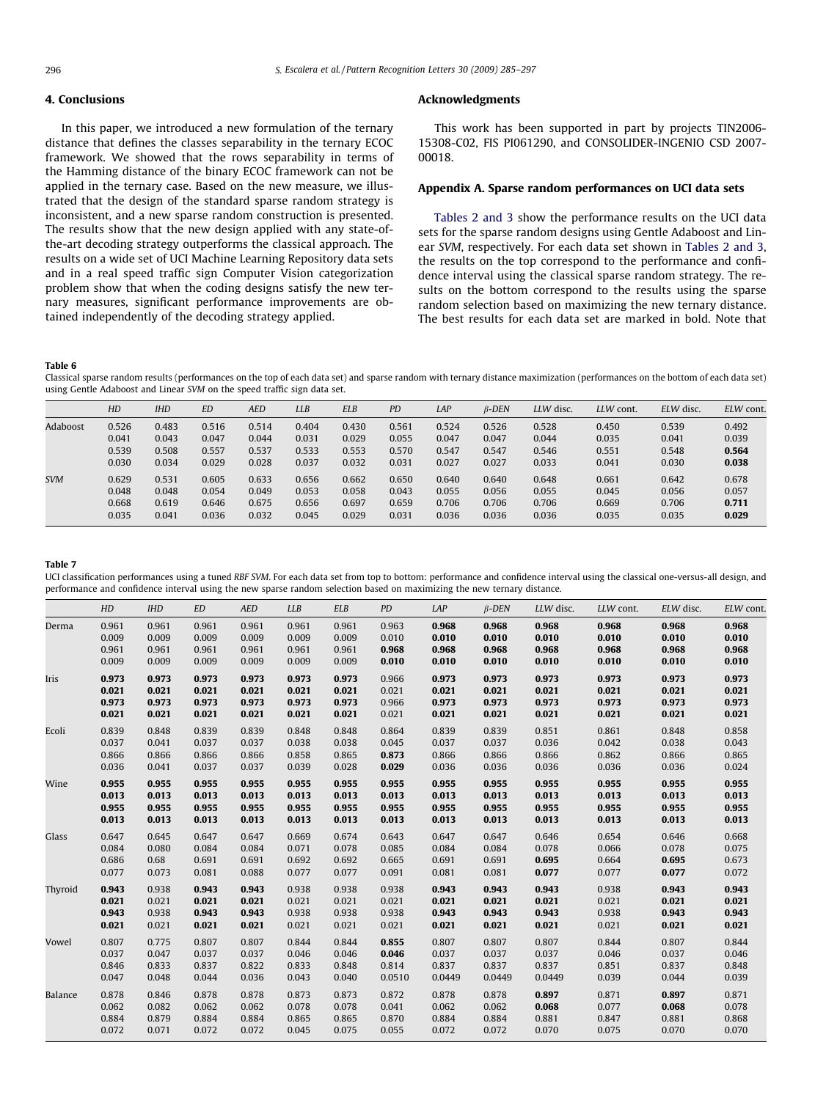# <span id="page-11-0"></span>4. Conclusions

In this paper, we introduced a new formulation of the ternary distance that defines the classes separability in the ternary ECOC framework. We showed that the rows separability in terms of the Hamming distance of the binary ECOC framework can not be applied in the ternary case. Based on the new measure, we illustrated that the design of the standard sparse random strategy is inconsistent, and a new sparse random construction is presented. The results show that the new design applied with any state-ofthe-art decoding strategy outperforms the classical approach. The results on a wide set of UCI Machine Learning Repository data sets and in a real speed traffic sign Computer Vision categorization problem show that when the coding designs satisfy the new ternary measures, significant performance improvements are obtained independently of the decoding strategy applied.

# Acknowledgments

This work has been supported in part by projects TIN2006- 15308-C02, FIS PI061290, and CONSOLIDER-INGENIO CSD 2007- 00018.

# Appendix A. Sparse random performances on UCI data sets

[Tables 2 and 3](#page-7-0) show the performance results on the UCI data sets for the sparse random designs using Gentle Adaboost and Linear SVM, respectively. For each data set shown in [Tables 2 and 3,](#page-7-0) the results on the top correspond to the performance and confidence interval using the classical sparse random strategy. The results on the bottom correspond to the results using the sparse random selection based on maximizing the new ternary distance. The best results for each data set are marked in bold. Note that

#### Table 6

Classical sparse random results (performances on the top of each data set) and sparse random with ternary distance maximization (performances on the bottom of each data set) using Gentle Adaboost and Linear SVM on the speed traffic sign data set.

|            | HD             | <b>IHD</b>     | <b>ED</b>      | <b>AED</b>     | <b>LLB</b>     | <b>ELB</b>     | PD             | <b>LAP</b>     | $\beta$ -DEN   | LLW disc.      | LLW cont.      | ELW disc.      | ELW cont.      |
|------------|----------------|----------------|----------------|----------------|----------------|----------------|----------------|----------------|----------------|----------------|----------------|----------------|----------------|
| Adaboost   | 0.526<br>0.041 | 0.483<br>0.043 | 0.516<br>0.047 | 0.514<br>0.044 | 0.404<br>0.031 | 0.430<br>0.029 | 0.561<br>0.055 | 0.524<br>0.047 | 0.526<br>0.047 | 0.528<br>0.044 | 0.450<br>0.035 | 0.539<br>0.041 | 0.492<br>0.039 |
|            | 0.539          | 0.508          | 0.557          | 0.537          | 0.533          | 0.553          | 0.570          | 0.547          | 0.547          | 0.546          | 0.551          | 0.548          | 0.564          |
|            | 0.030          | 0.034          | 0.029          | 0.028          | 0.037          | 0.032          | 0.031          | 0.027          | 0.027          | 0.033          | 0.041          | 0.030          | 0.038          |
| <b>SVM</b> | 0.629<br>0.048 | 0.531<br>0.048 | 0.605<br>0.054 | 0.633<br>0.049 | 0.656<br>0.053 | 0.662<br>0.058 | 0.650<br>0.043 | 0.640<br>0.055 | 0.640<br>0.056 | 0.648<br>0.055 | 0.661<br>0.045 | 0.642<br>0.056 | 0.678<br>0.057 |
|            | 0.668<br>0.035 | 0.619<br>0.041 | 0.646<br>0.036 | 0.675<br>0.032 | 0.656<br>0.045 | 0.697<br>0.029 | 0.659<br>0.031 | 0.706<br>0.036 | 0.706<br>0.036 | 0.706<br>0.036 | 0.669<br>0.035 | 0.706<br>0.035 | 0.711<br>0.029 |
|            |                |                |                |                |                |                |                |                |                |                |                |                |                |

#### Table 7

UCI classification performances using a tuned RBF SVM. For each data set from top to bottom: performance and confidence interval using the classical one-versus-all design, and performance and confidence interval using the new sparse random selection based on maximizing the new ternary distance.

|                | HD    | <b>IHD</b> | ED    | <b>AED</b> | <b>LLB</b> | ELB   | PD     | LAP    | $\beta$ -DEN | LLW disc. | LLW cont. | ELW disc. | ELW cont. |
|----------------|-------|------------|-------|------------|------------|-------|--------|--------|--------------|-----------|-----------|-----------|-----------|
| Derma          | 0.961 | 0.961      | 0.961 | 0.961      | 0.961      | 0.961 | 0.963  | 0.968  | 0.968        | 0.968     | 0.968     | 0.968     | 0.968     |
|                | 0.009 | 0.009      | 0.009 | 0.009      | 0.009      | 0.009 | 0.010  | 0.010  | 0.010        | 0.010     | 0.010     | 0.010     | 0.010     |
|                | 0.961 | 0.961      | 0.961 | 0.961      | 0.961      | 0.961 | 0.968  | 0.968  | 0.968        | 0.968     | 0.968     | 0.968     | 0.968     |
|                | 0.009 | 0.009      | 0.009 | 0.009      | 0.009      | 0.009 | 0.010  | 0.010  | 0.010        | 0.010     | 0.010     | 0.010     | 0.010     |
| Iris           | 0.973 | 0.973      | 0.973 | 0.973      | 0.973      | 0.973 | 0.966  | 0.973  | 0.973        | 0.973     | 0.973     | 0.973     | 0.973     |
|                | 0.021 | 0.021      | 0.021 | 0.021      | 0.021      | 0.021 | 0.021  | 0.021  | 0.021        | 0.021     | 0.021     | 0.021     | 0.021     |
|                | 0.973 | 0.973      | 0.973 | 0.973      | 0.973      | 0.973 | 0.966  | 0.973  | 0.973        | 0.973     | 0.973     | 0.973     | 0.973     |
|                | 0.021 | 0.021      | 0.021 | 0.021      | 0.021      | 0.021 | 0.021  | 0.021  | 0.021        | 0.021     | 0.021     | 0.021     | 0.021     |
| Ecoli          | 0.839 | 0.848      | 0.839 | 0.839      | 0.848      | 0.848 | 0.864  | 0.839  | 0.839        | 0.851     | 0.861     | 0.848     | 0.858     |
|                | 0.037 | 0.041      | 0.037 | 0.037      | 0.038      | 0.038 | 0.045  | 0.037  | 0.037        | 0.036     | 0.042     | 0.038     | 0.043     |
|                | 0.866 | 0.866      | 0.866 | 0.866      | 0.858      | 0.865 | 0.873  | 0.866  | 0.866        | 0.866     | 0.862     | 0.866     | 0.865     |
|                | 0.036 | 0.041      | 0.037 | 0.037      | 0.039      | 0.028 | 0.029  | 0.036  | 0.036        | 0.036     | 0.036     | 0.036     | 0.024     |
| Wine           | 0.955 | 0.955      | 0.955 | 0.955      | 0.955      | 0.955 | 0.955  | 0.955  | 0.955        | 0.955     | 0.955     | 0.955     | 0.955     |
|                | 0.013 | 0.013      | 0.013 | 0.013      | 0.013      | 0.013 | 0.013  | 0.013  | 0.013        | 0.013     | 0.013     | 0.013     | 0.013     |
|                | 0.955 | 0.955      | 0.955 | 0.955      | 0.955      | 0.955 | 0.955  | 0.955  | 0.955        | 0.955     | 0.955     | 0.955     | 0.955     |
|                | 0.013 | 0.013      | 0.013 | 0.013      | 0.013      | 0.013 | 0.013  | 0.013  | 0.013        | 0.013     | 0.013     | 0.013     | 0.013     |
| Glass          | 0.647 | 0.645      | 0.647 | 0.647      | 0.669      | 0.674 | 0.643  | 0.647  | 0.647        | 0.646     | 0.654     | 0.646     | 0.668     |
|                | 0.084 | 0.080      | 0.084 | 0.084      | 0.071      | 0.078 | 0.085  | 0.084  | 0.084        | 0.078     | 0.066     | 0.078     | 0.075     |
|                | 0.686 | 0.68       | 0.691 | 0.691      | 0.692      | 0.692 | 0.665  | 0.691  | 0.691        | 0.695     | 0.664     | 0.695     | 0.673     |
|                | 0.077 | 0.073      | 0.081 | 0.088      | 0.077      | 0.077 | 0.091  | 0.081  | 0.081        | 0.077     | 0.077     | 0.077     | 0.072     |
| Thyroid        | 0.943 | 0.938      | 0.943 | 0.943      | 0.938      | 0.938 | 0.938  | 0.943  | 0.943        | 0.943     | 0.938     | 0.943     | 0.943     |
|                | 0.021 | 0.021      | 0.021 | 0.021      | 0.021      | 0.021 | 0.021  | 0.021  | 0.021        | 0.021     | 0.021     | 0.021     | 0.021     |
|                | 0.943 | 0.938      | 0.943 | 0.943      | 0.938      | 0.938 | 0.938  | 0.943  | 0.943        | 0.943     | 0.938     | 0.943     | 0.943     |
|                | 0.021 | 0.021      | 0.021 | 0.021      | 0.021      | 0.021 | 0.021  | 0.021  | 0.021        | 0.021     | 0.021     | 0.021     | 0.021     |
| Vowel          | 0.807 | 0.775      | 0.807 | 0.807      | 0.844      | 0.844 | 0.855  | 0.807  | 0.807        | 0.807     | 0.844     | 0.807     | 0.844     |
|                | 0.037 | 0.047      | 0.037 | 0.037      | 0.046      | 0.046 | 0.046  | 0.037  | 0.037        | 0.037     | 0.046     | 0.037     | 0.046     |
|                | 0.846 | 0.833      | 0.837 | 0.822      | 0.833      | 0.848 | 0.814  | 0.837  | 0.837        | 0.837     | 0.851     | 0.837     | 0.848     |
|                | 0.047 | 0.048      | 0.044 | 0.036      | 0.043      | 0.040 | 0.0510 | 0.0449 | 0.0449       | 0.0449    | 0.039     | 0.044     | 0.039     |
| <b>Balance</b> | 0.878 | 0.846      | 0.878 | 0.878      | 0.873      | 0.873 | 0.872  | 0.878  | 0.878        | 0.897     | 0.871     | 0.897     | 0.871     |
|                | 0.062 | 0.082      | 0.062 | 0.062      | 0.078      | 0.078 | 0.041  | 0.062  | 0.062        | 0.068     | 0.077     | 0.068     | 0.078     |
|                | 0.884 | 0.879      | 0.884 | 0.884      | 0.865      | 0.865 | 0.870  | 0.884  | 0.884        | 0.881     | 0.847     | 0.881     | 0.868     |
|                | 0.072 | 0.071      | 0.072 | 0.072      | 0.045      | 0.075 | 0.055  | 0.072  | 0.072        | 0.070     | 0.075     | 0.070     | 0.070     |